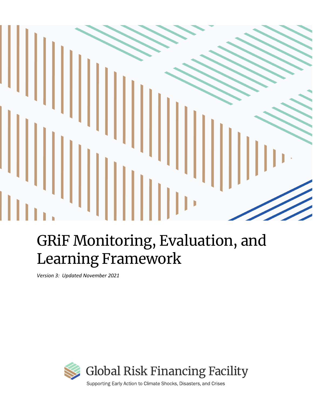# $\mathbb I$

# GRiF Monitoring, Evaluation, and Learning Framework

*Version 3: Updated November 2021*



Supporting Early Action to Climate Shocks, Disasters, and Crises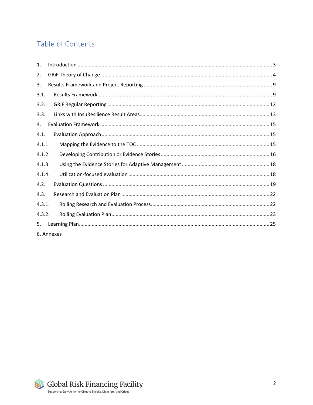# Table of Contents

| $\mathbf{1}$ . |            |  |
|----------------|------------|--|
| 2.             |            |  |
| 3.             |            |  |
| 3.1.           |            |  |
| 3.2.           |            |  |
| 3.3.           |            |  |
| 4.             |            |  |
| 4.1.           |            |  |
| 4.1.1.         |            |  |
| 4.1.2.         |            |  |
| 4.1.3.         |            |  |
| 4.1.4.         |            |  |
| 4.2.           |            |  |
| 4.3.           |            |  |
| 4.3.1.         |            |  |
| 4.3.2.         |            |  |
| 5.             |            |  |
|                | 6. Annexes |  |

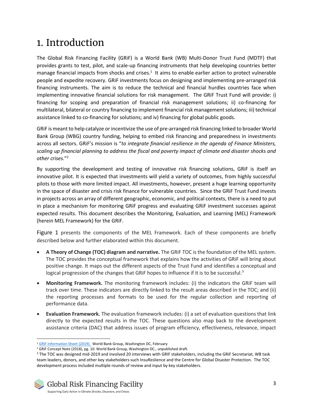# <span id="page-2-0"></span>1. Introduction

The Global Risk Financing Facility (GRiF) is a World Bank (WB) Multi-Donor Trust Fund (MDTF) that provides grants to test, pilot, and scale-up financing instruments that help developing countries better manage financial impacts from shocks and crises.<sup>1</sup> It aims to enable earlier action to protect vulnerable people and expedite recovery. GRiF investments focus on designing and implementing pre-arranged risk financing instruments. The aim is to reduce the technical and financial hurdles countries face when implementing innovative financial solutions for risk management. The GRiF Trust Fund will provide: i) financing for scoping and preparation of financial risk management solutions; ii) co-financing for multilateral, bilateral or country financing to implement financial risk management solutions; iii) technical assistance linked to co-financing for solutions; and iv) financing for global public goods.

GRiF is meant to help catalyze or incentivize the use of pre-arranged risk financing linked to broader World Bank Group (WBG) country funding, helping to embed risk financing and preparedness in investments across all sectors. GRiF's mission is "*to integrate financial resilience in the agenda of Finance Ministers, scaling up financial planning to address the fiscal and poverty impact of climate and disaster shocks and other crises.*" 2

By supporting the development and testing of innovative risk financing solutions, GRiF is itself an innovative pilot. It is expected that investments will yield a variety of outcomes, from highly successful pilots to those with more limited impact. All investments, however, present a huge learning opportunity in the space of disaster and crisis risk finance for vulnerable countries. Since the GRiF Trust Fund invests in projects across an array of different geographic, economic, and political contexts, there is a need to put in place a mechanism for monitoring GRiF progress and evaluating GRiF investment successes against expected results. This document describes the Monitoring, Evaluation, and Learning (MEL) Framework (herein MEL Framework) for the GRiF.

[Figure 1](#page-3-1) presents the components of the MEL Framework. Each of these components are briefly described below and further elaborated within this document.

- **A Theory of Change (TOC) diagram and narrative.** The GRiF TOC is the foundation of the MEL system. The TOC provides the conceptual framework that explains how the activities of GRiF will bring about positive change. It maps out the different aspects of the Trust Fund and identifies a conceptual and logical progression of the changes that GRiF hopes to influence if it is to be successful.<sup>3</sup>
- **Monitoring Framework.** The monitoring framework includes: (i) the indicators the GRiF team will track over time. These indicators are directly linked to the result areas described in the TOC; and (ii) the reporting processes and formats to be used for the regular collection and reporting of performance data.
- **Evaluation Framework.** The evaluation framework includes: (i) a set of evaluation questions that link directly to the expected results in the TOC. These questions also map back to the development assistance criteria (DAC) that address issues of program efficiency, effectiveness, relevance, impact

<sup>&</sup>lt;sup>1</sup> [GRiF Information Sheet \(2019\). W](https://www.insuresilience.org/wp-content/uploads/2019/04/GRiF-Information-Sheet-Feb2019.pdf)orld Bank Group, Washington DC, February

<sup>&</sup>lt;sup>2</sup> GRiF Concept Note (2018), pg. 10. World Bank Group, Washington DC., unpublished draft.

<sup>&</sup>lt;sup>3</sup> The TOC was designed mid-2019 and involved 20 interviews with GRIF stakeholders, including the GRIF Secretariat, WB task team leaders, donors, and other key stakeholders such InsuReslience and the Centre for Global Disaster Protection. The TOC development process included multiple rounds of review and input by key stakeholders.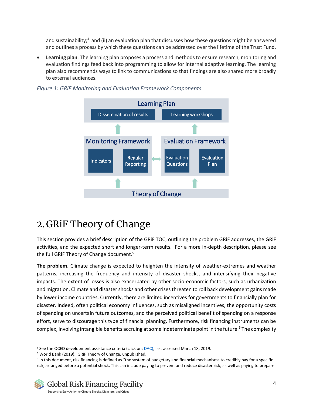and sustainability;<sup>4</sup> and (ii) an evaluation plan that discusses how these questions might be answered and outlines a process by which these questions can be addressed over the lifetime of the Trust Fund.

• **Learning plan**. The learning plan proposes a process and methods to ensure research, monitoring and evaluation findings feed back into programming to allow for internal adaptive learning. The learning plan also recommends ways to link to communications so that findings are also shared more broadly to external audiences.



#### <span id="page-3-1"></span>*Figure 1: GRiF Monitoring and Evaluation Framework Components*

# <span id="page-3-0"></span>2.GRiF Theory of Change

This section provides a brief description of the GRiF TOC, outlining the problem GRiF addresses, the GRiF activities, and the expected short and longer-term results. For a more in-depth description, please see the full GRiF Theory of Change document. 5

**The problem**. Climate change is expected to heighten the intensity of weather-extremes and weather patterns, increasing the frequency and intensity of disaster shocks, and intensifying their negative impacts. The extent of losses is also exacerbated by other socio-economic factors, such as urbanization and migration. Climate and disaster shocks and other crises threaten to roll back development gains made by lower income countries. Currently, there are limited incentives for governments to financially plan for disaster. Indeed, often political economy influences, such as misaligned incentives, the opportunity costs of spending on uncertain future outcomes, and the perceived political benefit of spending on a response effort, serve to discourage this type of financial planning. Furthermore, risk financing instruments can be complex, involving intangible benefits accruing at some indeterminate point in the future.<sup>6</sup> The complexity

<sup>&</sup>lt;sup>4</sup> See the OCED development assistance criteria (click on: [DAC\),](http://www.oecd.org/dac/evaluation/daccriteriaforevaluatingdevelopmentassistance.htm) last accessed March 18, 2019.

<sup>5</sup> World Bank (2019). GRiF Theory of Change, unpublished.

<sup>&</sup>lt;sup>6</sup> In this document, risk financing is defined as "the system of budgetary and financial mechanisms to credibly pay for a specific risk, arranged before a potential shock. This can include paying to prevent and reduce disaster risk, as well as paying to prepare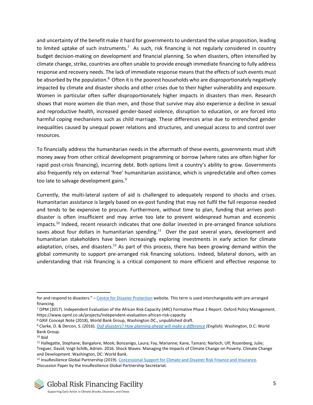and uncertainty of the benefit make it hard for governments to understand the value proposition, leading to limited uptake of such instruments.<sup>7</sup> As such, risk financing is not regularly considered in country budget decision-making on development and financial planning. So when disasters, often intensified by climate change, strike, countries are often unable to provide enough immediate financing to fully address response and recovery needs. The lack of immediate response means that the effects of such events must be absorbed by the population.<sup>8</sup> Often it is the poorest households who are disproportionately negatively impacted by climate and disaster shocks and other crises due to their higher vulnerability and exposure. Women in particular often suffer disproportionately higher impacts in disasters than men. Research shows that more women die than men, and those that survive may also experience a decline in sexual and reproductive health, increased gender-based violence, disruption to education, or are forced into harmful coping mechanisms such as child marriage. These differences arise due to entrenched gender inequalities caused by unequal power relations and structures, and unequal access to and control over resources*.*

To financially address the humanitarian needs in the aftermath of these events, governments must shift money away from other critical development programming or borrow (where rates are often higher for rapid post-crisis financing), incurring debt. Both options limit a country's ability to grow. Governments also frequently rely on external 'free' humanitarian assistance, which is unpredictable and often comes too late to salvage development gains.<sup>9</sup>

Currently, the multi-lateral system of aid is challenged to adequately respond to shocks and crises. Humanitarian assistance is largely based on ex-post funding that may not fulfil the full response needed and tends to be expensive to procure. Furthermore, without time to plan, funding that arrives postdisaster is often insufficient and may arrive too late to prevent widespread human and economic impacts.<sup>10</sup> Indeed, recent research indicates that one dollar invested in pre-arranged finance solutions saves about four dollars in humanitarian spending.<sup>11</sup> Over the past several years, development and humanitarian stakeholders have been increasingly exploring investments in early action for climate adaptation, crises, and disasters.<sup>12</sup> As part of this process, there has been growing demand within the global community to support pre-arranged risk financing solutions. Indeed, bilateral donors, with an understanding that risk financing is a critical component to more efficient and effective response to

for and respond to disasters." - Centre [for Disaster Protection](https://www.disasterprotection.org/) website. This term is used interchangeably with pre-arranged financing.

<sup>7</sup> OPM (2017). Independent Evaluation of the African Risk Capacity (ARC) Formative Phase 1 Report. Oxford Policy Management. https://www.opml.co.uk/projects/independent-evaluation-african-risk-capacity

<sup>8</sup> GRiF Concept Note (2018), World Bank Group, Washington DC., unpublished draft.

<sup>9</sup> Clarke, D. & Dercon, S. (2016). *Dull disasters? How planning ahead will make a [difference](http://documents.worldbank.org/curated/en/962821468836117709/Dull-disasters-How-planning-ahead-will-make-a-difference.) (English)*. Washington, D.C: World Bank Group.

 $10$  Ibid

<sup>11</sup> Hallegatte, Stephane; Bangalore, Mook; Bonzanigo, Laura; Fay, Marianne; Kane, Tamaro; Narloch, Ulf; Rozenberg, Julie; Treguer, David; Vogt-Schilb, Adrien. 2016. Shock Waves: Managing the Impacts of Climate Change on Poverty. Climate Change and Development. Washington, DC: World Bank.

<sup>12</sup> InsuResilience Global Partnership (2019). Concessional Support for Climate and Disaster Risk Finance and Insurance. Discussion Paper by the InsuResilience Global Partnership Secretariat.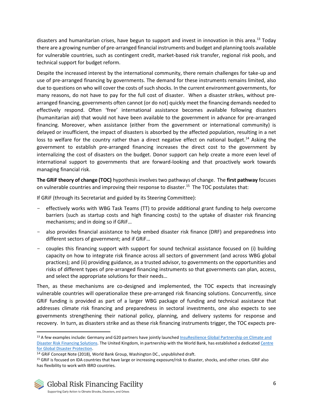disasters and humanitarian crises, have begun to support and invest in innovation in this area.<sup>13</sup> Today there are a growing number of pre-arranged financial instruments and budget and planning tools available for vulnerable countries, such as contingent credit, market-based risk transfer, regional risk pools, and technical support for budget reform.

Despite the increased interest by the international community, there remain challenges for take-up and use of pre-arranged financing by governments. The demand for these instruments remains limited, also due to questions on who will cover the costs of such shocks. In the current environment governments, for many reasons, do not have to pay for the full cost of disaster. When a disaster strikes, without prearranged financing, governments often cannot (or do not) quickly meet the financing demands needed to effectively respond. Often 'free' international assistance becomes available following disasters (humanitarian aid) that would not have been available to the government in advance for pre-arranged financing. Moreover, when assistance (either from the government or international community) is delayed or insufficient, the impact of disasters is absorbed by the affected population, resulting in a net loss to welfare for the country rather than a direct negative effect on national budget.<sup>14</sup> Asking the government to establish pre-arranged financing increases the direct cost to the government by internalizing the cost of disasters on the budget. Donor support can help create a more even level of international support to governments that are forward-looking and that proactively work towards managing financial risk.

**The GRiF theory of change (TOC)** hypothesis involves two pathways of change. The **first pathway** focuses on vulnerable countries and improving their response to disaster.<sup>15</sup> The TOC postulates that:

If GRiF (through its Secretariat and guided by its Steering Committee):

- effectively works with WBG Task Teams (TT) to provide additional grant funding to help overcome barriers (such as startup costs and high financing costs) to the uptake of disaster risk financing mechanisms; and in doing so if GRiF…
- also provides financial assistance to help embed disaster risk finance (DRF) and preparedness into different sectors of government; and if GRiF…
- couples this financing support with support for sound technical assistance focused on (i) building capacity on how to integrate risk finance across all sectors of government (and across WBG global practices); and (ii) providing guidance, as a trusted advisor, to governments on the opportunities and risks of different types of pre-arranged financing instruments so that governments can plan, access, and select the appropriate solutions for their needs…

Then, as these mechanisms are co-designed and implemented, the TOC expects that increasingly vulnerable countries will operationalize these pre-arranged risk financing solutions. Concurrently, since GRiF funding is provided as part of a larger WBG package of funding and technical assistance that addresses climate risk financing and preparedness in sectoral investments, one also expects to see governments strengthening their national policy, planning, and delivery systems for response and recovery. In turn, as disasters strike and as these risk financing instruments trigger, the TOC expects pre-

<sup>13</sup> A few examples include: Germany and G20 partners have jointly launched InsuResilience Global Partnership on Climate and [Disaster Risk Financing Solutions.](https://www.insuresilience.org/) The United Kingdom, in partnership with the World Bank, has established a dedicate[d Centre](https://www.disasterprotection.org/)  [for Global Disaster Protection.](https://www.disasterprotection.org/) 

<sup>&</sup>lt;sup>14</sup> GRiF Concept Note (2018), World Bank Group, Washington DC., unpublished draft.

<sup>15</sup> GRiF is focused on IDA countries that have large or increasing exposure/risk to disaster, shocks, and other crises. GRiF also has flexibility to work with IBRD countries.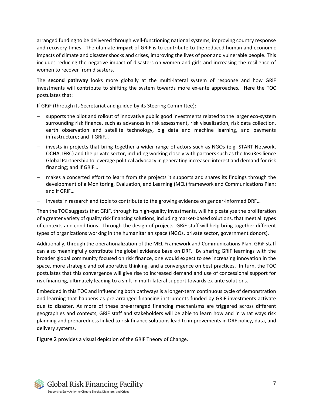arranged funding to be delivered through well-functioning national systems, improving country response and recovery times. The ultimate **impact** of GRiF is to contribute to the reduced human and economic impacts of climate and disaster shocks and crises, improving the lives of poor and vulnerable people. This includes reducing the negative impact of disasters on women and girls and increasing the resilience of women to recover from disasters.

The **second pathway** looks more globally at the multi-lateral system of response and how GRiF investments will contribute to shifting the system towards more ex-ante approaches**.** Here the TOC postulates that:

If GRiF (through its Secretariat and guided by its Steering Committee):

- supports the pilot and rollout of innovative public good investments related to the larger eco-system surrounding risk finance, such as advances in risk assessment, risk visualization, risk data collection, earth observation and satellite technology, big data and machine learning, and payments infrastructure; and if GRiF…
- invests in projects that bring together a wider range of actors such as NGOs (e.g. START Network, OCHA, IFRC) and the private sector, including working closely with partners such as the InsuResilience Global Partnership to leverage political advocacy in generating increased interest and demand for risk financing; and if GRiF…
- makes a concerted effort to learn from the projects it supports and shares its findings through the development of a Monitoring, Evaluation, and Learning (MEL) framework and Communications Plan; and if GRiF…
- Invests in research and tools to contribute to the growing evidence on gender-informed DRF…

Then the TOC suggests that GRiF, through its high-quality investments, will help catalyze the proliferation of a greater variety of quality risk financing solutions, including market-based solutions, that meet all types of contexts and conditions. Through the design of projects, GRiF staff will help bring together different types of organizations working in the humanitarian space (NGOs, private sector, government donors).

Additionally, through the operationalization of the MEL Framework and Communications Plan, GRiF staff can also meaningfully contribute the global evidence base on DRF. By sharing GRiF learnings with the broader global community focused on risk finance, one would expect to see increasing innovation in the space, more strategic and collaborative thinking, and a convergence on best practices. In turn, the TOC postulates that this convergence will give rise to increased demand and use of concessional support for risk financing, ultimately leading to a shift in multi-lateral support towards ex-ante solutions.

Embedded in this TOC and influencing both pathways is a longer-term continuous cycle of demonstration and learning that happens as pre-arranged financing instruments funded by GRiF investments activate due to disaster. As more of these pre-arranged financing mechanisms are triggered across different geographies and contexts, GRiF staff and stakeholders will be able to learn how and in what ways risk planning and preparedness linked to risk finance solutions lead to improvements in DRF policy, data, and delivery systems.

[Figure 2](#page-7-0) provides a visual depiction of the GRiF Theory of Change.

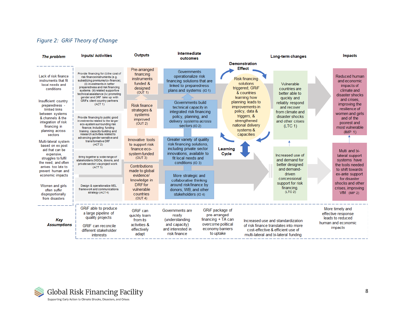#### *Figure 2: GRiF Theory of Change*

<span id="page-7-0"></span>

| The problem                                                                                                                                                                                                                                                                                                                                              | <b>Inputs/ Activities</b>                                                                                                                                                                                                                                                                                                                                                                                                                                                                                                                                                                                                                                                              | <b>Outputs</b>                                                                                                                                                                                                                                 | Intermediate                                                                                                                                                                                                                                                                                                                                                                                                                    |                                                                                                                                                                                                                                                                                             | Long-term changes                                                                                                                                                                                           | <b>Impacts</b>                                                                                                                                                                                                                                                   |
|----------------------------------------------------------------------------------------------------------------------------------------------------------------------------------------------------------------------------------------------------------------------------------------------------------------------------------------------------------|----------------------------------------------------------------------------------------------------------------------------------------------------------------------------------------------------------------------------------------------------------------------------------------------------------------------------------------------------------------------------------------------------------------------------------------------------------------------------------------------------------------------------------------------------------------------------------------------------------------------------------------------------------------------------------------|------------------------------------------------------------------------------------------------------------------------------------------------------------------------------------------------------------------------------------------------|---------------------------------------------------------------------------------------------------------------------------------------------------------------------------------------------------------------------------------------------------------------------------------------------------------------------------------------------------------------------------------------------------------------------------------|---------------------------------------------------------------------------------------------------------------------------------------------------------------------------------------------------------------------------------------------------------------------------------------------|-------------------------------------------------------------------------------------------------------------------------------------------------------------------------------------------------------------|------------------------------------------------------------------------------------------------------------------------------------------------------------------------------------------------------------------------------------------------------------------|
| Lack of risk finance<br>instruments that fit<br>local needs and<br>conditions<br>Insufficient country<br>preparedness -<br>limited links<br>between systems<br>& channels & the<br>integration of risk<br>financing in<br>planning across<br>sectors<br>Multi-lateral system<br>based on ex post<br>aid that can be<br>expensive,<br>struggles to fulfil | Provide financing for (i) the cost of<br>risk finance instruments (e.g.<br>subsidizing premiums/co-finance);<br>(ii) investments in better<br>preparedness and risk financing<br>systems (iii) related supportive<br>technical assistance (iv) promoting<br>gender and DRF take up with<br>GRiFs client country partners<br>(ACT 1)<br>Provide financing to public good<br>investments related to the larger<br>eco-system surrounding risk<br>finance; Including funding<br>training, capacity building and<br>research activities related to<br>advancing gender sensitive and<br>transformative DRF<br>(ACT 2)<br>Bring together a wide range of<br>stakeholders (NGOs, donors, and | Pre-arranged<br>financing<br><b>instruments</b><br>funded &<br>designed<br>(OUT 1)<br><b>Risk finance</b><br>strategies &<br>systems<br>improved<br>(OUT 2)<br>Innovative tools<br>to support risk<br>finance eco-<br>system funded<br>(OUT 3) | outcomes<br>Governments<br>operationalize risk<br>financing solutions that are<br>linked to preparedness<br>plans and systems (IO1)<br>Governments build<br>technical capacity in<br>integrated risk financing<br>policy, planning, and<br>delivery systems across<br>sectors (IO 2)<br>Greater variety of quality<br>risk financing solutions,<br>including private sector<br>innovations, available to<br>fit local needs and | <b>Demonstration</b><br><b>Effect</b><br><b>Risk financing</b><br>solutions<br>triggered; GRiF<br>& countries<br>learning how<br>planning leads to<br>improvements in<br>policy, data &<br>triggers, &<br>strengthened<br>national delivery<br>systems &<br>capacities<br>Learning<br>Cycle | Vulnerable<br>countries are<br>better able to<br>quickly and<br>reliably respond<br>and recover<br>from climate and<br>disaster shocks<br>and other crises<br>(LTC 1)<br>Increased use of<br>and demand for | Reduced human<br>and economic<br>impacts of<br>climate and<br>disaster shocks<br>and crises.<br>improving the<br>resilience of<br>women and girls<br>and of the<br>poorest and<br>most vulnerable<br>(IMP 1)<br>Multi and bi-<br>lateral support<br>systems have |
| the need, and often<br>arrives too late to<br>prevent human and<br>economic impacts<br>Women and girls<br>often suffer<br>disproportionally<br>from disasters                                                                                                                                                                                            | private sector) via project work<br>Contributions<br>(ACT 3)<br>made to global<br>evidence/<br>knowledge in<br>DRF for<br>Design & operationalize MEL<br>vulnerable<br>framework and communications<br>strategy (ACT4)<br>countries<br>(OUT 4)                                                                                                                                                                                                                                                                                                                                                                                                                                         |                                                                                                                                                                                                                                                | conditions (IO 3)<br>More strategic and<br>collaborative thinking<br>around risk finance by<br>donors, WB, and other<br>stakeholders (IO 4)                                                                                                                                                                                                                                                                                     |                                                                                                                                                                                                                                                                                             | better designed<br>and demand-<br>driven<br>concessional<br>support for risk<br>financing.<br>(LTC 2)                                                                                                       | the tools needed<br>to shift towards<br>ex-ante support<br>for disaster<br>shocks and other<br>crises, improving<br>$VfM$ (IMP 2)                                                                                                                                |
| Key<br><b>Assumptions</b>                                                                                                                                                                                                                                                                                                                                | GRiF able to produce<br>a large pipeline of<br>quality projects<br><b>GRIF</b> can reconcile<br>different stakeholder<br>interests                                                                                                                                                                                                                                                                                                                                                                                                                                                                                                                                                     | <b>GRiF</b> can<br>quickly learn<br>from its<br>activities &<br>effectively<br>adapt                                                                                                                                                           | Governments are<br>ready<br>(understanding<br>and capacity)<br>and interested in<br>risk finance                                                                                                                                                                                                                                                                                                                                | GRiF package of<br>pre-arranged<br>financing $+TA$ can<br>overcome political<br>economy barriers<br>to uptake                                                                                                                                                                               | Increased use and standardization<br>of risk finance translates into more<br>cost-effective & efficient use of<br>multi-lateral and bi-lateral funding                                                      | More timely and<br>effective response<br>leads to reduced<br>human and economic<br>impacts                                                                                                                                                                       |

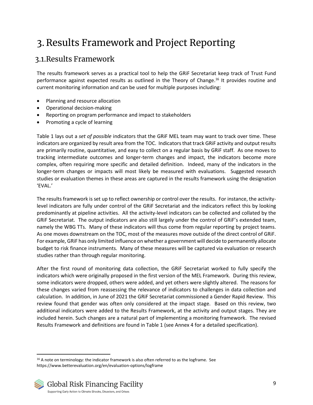# <span id="page-8-0"></span>3. Results Framework and Project Reporting

## <span id="page-8-1"></span>3.1.Results Framework

The results framework serves as a practical tool to help the GRiF Secretariat keep track of Trust Fund performance against expected results as outlined in the Theory of Change.<sup>16</sup> It provides routine and current monitoring information and can be used for multiple purposes including:

- Planning and resource allocation
- Operational decision-making
- Reporting on program performance and impact to stakeholders
- Promoting a cycle of learning

[Table 1](#page-9-0) lays out a *set of possible* indicators that the GRiF MEL team may want to track over time. These indicators are organized by result area from the TOC. Indicators that track GRiF activity and output results are primarily routine, quantitative, and easy to collect on a regular basis by GRiF staff. As one moves to tracking intermediate outcomes and longer-term changes and impact, the indicators become more complex, often requiring more specific and detailed definition. Indeed, many of the indicators in the longer-term changes or impacts will most likely be measured with evaluations. Suggested research studies or evaluation themes in these areas are captured in the results framework using the designation 'EVAL.'

The results framework is set up to reflect ownership or control over the results. For instance, the activitylevel indicators are fully under control of the GRiF Secretariat and the indicators reflect this by looking predominantly at pipeline activities. All the activity-level indicators can be collected and collated by the GRiF Secretariat. The output indicators are also still largely under the control of GRiF's extended team, namely the WBG TTs. Many of these indicators will thus come from regular reporting by project teams. As one moves downstream on the TOC, most of the measures move outside of the direct control of GRiF. For example, GRiF has only limited influence on whether a government will decide to permanently allocate budget to risk finance instruments. Many of these measures will be captured via evaluation or research studies rather than through regular monitoring.

After the first round of monitoring data collection, the GRiF Secretariat worked to fully specify the indicators which were originally proposed in the first version of the MEL Framework. During this review, some indicators were dropped, others were added, and yet others were slightly altered. The reasons for these changes varied from reassessing the relevance of indicators to challenges in data collection and calculation. In addition, in June of 2021 the GRiF Secretariat commissioned a Gender Rapid Review. This review found that gender was often only considered at the impact stage. Based on this review, two additional indicators were added to the Results Framework, at the activity and output stages. They are included herein. Such changes are a natural part of implementing a monitoring framework. The revised Results Framework and definitions are found in [Table 1](#page-9-0) (see Annex 4 for a detailed specification).

<sup>&</sup>lt;sup>16</sup> A note on terminology: the indicator framework is also often referred to as the logframe. See https://www.betterevaluation.org/en/evaluation-options/logframe

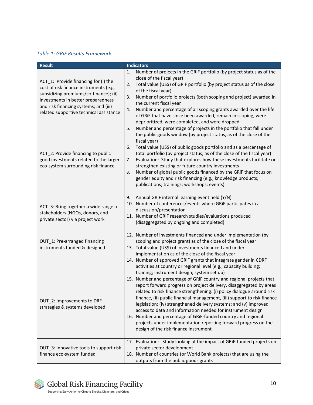#### <span id="page-9-0"></span>*Table 1: GRiF Results Framework*

| <b>Result</b>                                                                                                                                                                                                                                      | <b>Indicators</b>                                                                                                                                                                                                                                                                                                                                                                                                                                                                                                                                                                                                                                |
|----------------------------------------------------------------------------------------------------------------------------------------------------------------------------------------------------------------------------------------------------|--------------------------------------------------------------------------------------------------------------------------------------------------------------------------------------------------------------------------------------------------------------------------------------------------------------------------------------------------------------------------------------------------------------------------------------------------------------------------------------------------------------------------------------------------------------------------------------------------------------------------------------------------|
| ACT_1: Provide financing for (i) the<br>cost of risk finance instruments (e.g.<br>subsidizing premiums/co-finance); (ii)<br>investments in better preparedness<br>and risk financing systems; and (iii)<br>related supportive technical assistance | Number of projects in the GRiF portfolio (by project status as of the<br>1.<br>close of the fiscal year)<br>Total value (US\$) of GRIF portfolio (by project status as of the close<br>2.<br>of the fiscal year)<br>Number of portfolio projects (both scoping and project) awarded in<br>3.<br>the current fiscal year<br>Number and percentage of all scoping grants awarded over the life<br>4.<br>of GRiF that have since been awarded, remain in scoping, were<br>deprioritized, were completed, and were dropped                                                                                                                           |
| ACT_2: Provide financing to public<br>good investments related to the larger<br>eco-system surrounding risk finance                                                                                                                                | Number and percentage of projects in the portfolio that fall under<br>5.<br>the public goods window (by project status, as of the close of the<br>fiscal year)<br>Total value (US\$) of public goods portfolio and as a percentage of<br>6.<br>total portfolio (by project status, as of the close of the fiscal year)<br>Evaluation: Study that explores how these investments facilitate or<br>7.<br>strengthen existing or future country investments<br>Number of global public goods financed by the GRiF that focus on<br>8.<br>gender equity and risk financing (e.g., knowledge products;<br>publications; trainings; workshops; events) |
| ACT 3: Bring together a wide range of<br>stakeholders (NGOs, donors, and<br>private sector) via project work                                                                                                                                       | Annual GRIF internal learning event held (Y/N)<br>9.<br>10. Number of conferences/events where GRiF participates in a<br>discussion/presentation<br>11. Number of GRiF research studies/evaluations produced<br>(disaggregated by ongoing and completed)                                                                                                                                                                                                                                                                                                                                                                                         |
| OUT_1: Pre-arranged financing<br>instruments funded & designed                                                                                                                                                                                     | 12. Number of investments financed and under implementation (by<br>scoping and project grant) as of the close of the fiscal year<br>13. Total value (US\$) of investments financed and under<br>implementation as of the close of the fiscal year<br>14. Number of approved GRiF grants that integrate gender in CDRF<br>activities at country or regional level (e.g., capacity building;<br>training; instrument design; system set up)                                                                                                                                                                                                        |
| OUT_2: Improvements to DRF<br>strategies & systems developed                                                                                                                                                                                       | 15. Number and percentage of GRiF country and regional projects that<br>report forward progress on project delivery, disaggregated by areas<br>related to risk finance strengthening: (i) policy dialogue around risk<br>finance, (ii) public financial management, (iii) support to risk finance<br>legislation; (iv) strengthened delivery systems; and (v) improved<br>access to data and information needed for instrument design<br>16. Number and percentage of GRiF-funded country and regional<br>projects under implementation reporting forward progress on the<br>design of the risk finance instrument                               |
| OUT_3: Innovative tools to support risk<br>finance eco-system funded                                                                                                                                                                               | 17. Evaluation: Study looking at the impact of GRiF-funded projects on<br>private sector development<br>18. Number of countries (or World Bank projects) that are using the<br>outputs from the public goods grants                                                                                                                                                                                                                                                                                                                                                                                                                              |

Global Risk Financing Facility

 $\boxtimes$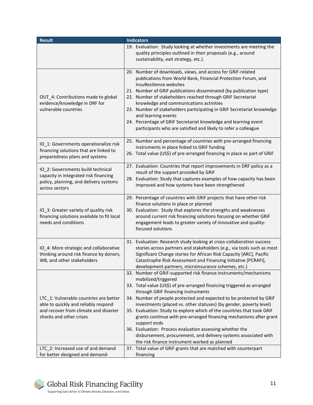| <b>Result</b>                                                                                                                                      | <b>Indicators</b>                                                                                                                                                                                                                                                                                                                                                                                                                                                                                                                                                                                                                                                                                    |
|----------------------------------------------------------------------------------------------------------------------------------------------------|------------------------------------------------------------------------------------------------------------------------------------------------------------------------------------------------------------------------------------------------------------------------------------------------------------------------------------------------------------------------------------------------------------------------------------------------------------------------------------------------------------------------------------------------------------------------------------------------------------------------------------------------------------------------------------------------------|
|                                                                                                                                                    | 19. Evaluation: Study looking at whether investments are meeting the<br>quality principles outlined in their proposals (e.g., around<br>sustainability, exit strategy, etc.).                                                                                                                                                                                                                                                                                                                                                                                                                                                                                                                        |
| OUT_4: Contributions made to global<br>evidence/knowledge in DRF for<br>vulnerable countries                                                       | 20. Number of downloads, views, and access for GRiF-related<br>publications from World Bank, Financial Protection Forum, and<br>InsuResilience websites<br>21. Number of GRiF publications disseminated (by publication type)<br>22. Number of stakeholders reached through GRiF Secretariat<br>knowledge and communications activities<br>23. Number of stakeholders participating in GRiF Secretariat knowledge<br>and learning events<br>24. Percentage of GRiF Secretariat knowledge and learning event<br>participants who are satisfied and likely to refer a colleague                                                                                                                        |
| IO_1: Governments operationalize risk<br>financing solutions that are linked to<br>preparedness plans and systems                                  | 25. Number and percentage of countries with pre-arranged financing<br>instruments in place linked to GRiF funding<br>26. Total value (US\$) of pre-arranged financing in place as part of GRIF                                                                                                                                                                                                                                                                                                                                                                                                                                                                                                       |
| IO 2: Governments build technical<br>capacity in integrated risk financing<br>policy, planning, and delivery systems<br>across sectors             | 27. Evaluation: Countries that report improvements in DRF policy as a<br>result of the support provided by GRiF<br>28. Evaluation: Study that captures examples of how capacity has been<br>improved and how systems have been strengthened                                                                                                                                                                                                                                                                                                                                                                                                                                                          |
| IO_3: Greater variety of quality risk<br>financing solutions available to fit local<br>needs and conditions                                        | 29. Percentage of countries with GRiF projects that have other risk<br>finance solutions in place or planned<br>30. Evaluation: Study that explores the strengths and weaknesses<br>around current risk financing solutions focusing on whether GRiF<br>engagement leads to greater variety of innovative and quality-<br>focused solutions                                                                                                                                                                                                                                                                                                                                                          |
| IO_4: More strategic and collaborative<br>thinking around risk finance by donors,<br>WB, and other stakeholders                                    | 31. Evaluation: Research study looking at cross-collaboration success<br>stories across partners and stakeholders (e.g., via tools such as most<br>Significant Change stories for African Risk Capacity [ARC], Pacific<br>Catastrophe Risk Assessment and Financing Initiative [PCRAFI],<br>development partners, microinsurance schemes, etc.)                                                                                                                                                                                                                                                                                                                                                      |
| LTC_1: Vulnerable countries are better<br>able to quickly and reliably respond<br>and recover from climate and disaster<br>shocks and other crises | 32. Number of GRIF-supported risk finance instruments/mechanisms<br>mobilized/triggered<br>33. Total value (US\$) of pre-arranged financing triggered as arranged<br>through GRIF financing instruments<br>34. Number of people protected and expected to be protected by GRIF<br>investments (placed vs. other statuses) (by gender, poverty level)<br>35. Evaluation: Study to explore which of the countries that took GRiF<br>grants continue with pre-arranged financing mechanisms after grant<br>support ends<br>36. Evaluation: Process evaluation assessing whether the<br>disbursement, procurement, and delivery systems associated with<br>the risk finance instrument worked as planned |
| LTC_2: Increased use of and demand<br>for better designed and demand-                                                                              | 37. Total value of GRiF grants that are matched with counterpart<br>financing                                                                                                                                                                                                                                                                                                                                                                                                                                                                                                                                                                                                                        |

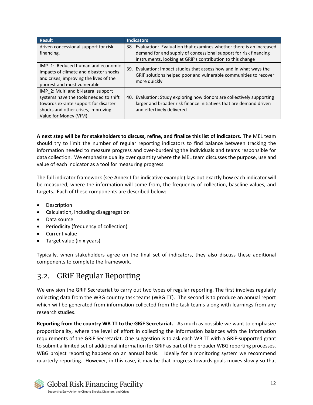| <b>Result</b>                                                                                                                                                                        | <b>Indicators</b>                                                                                                                                                         |
|--------------------------------------------------------------------------------------------------------------------------------------------------------------------------------------|---------------------------------------------------------------------------------------------------------------------------------------------------------------------------|
| driven concessional support for risk<br>financing.                                                                                                                                   | 38. Evaluation: Evaluation that examines whether there is an increased<br>demand for and supply of concessional support for risk financing                                |
|                                                                                                                                                                                      | instruments, looking at GRIF's contribution to this change                                                                                                                |
| IMP_1: Reduced human and economic<br>impacts of climate and disaster shocks<br>and crises, improving the lives of the<br>poorest and most vulnerable                                 | 39. Evaluation: Impact studies that assess how and in what ways the<br>GRIF solutions helped poor and vulnerable communities to recover<br>more quickly                   |
| IMP 2: Multi and bi-lateral support<br>systems have the tools needed to shift<br>towards ex-ante support for disaster<br>shocks and other crises, improving<br>Value for Money (VfM) | 40. Evaluation: Study exploring how donors are collectively supporting<br>larger and broader risk finance initiatives that are demand driven<br>and effectively delivered |

**A next step will be for stakeholders to discuss, refine, and finalize this list of indicators.** The MEL team should try to limit the number of regular reporting indicators to find balance between tracking the information needed to measure progress and over-burdening the individuals and teams responsible for data collection. We emphasize quality over quantity where the MEL team discusses the purpose, use and value of each indicator as a tool for measuring progress.

The full indicator framework (see Annex I for indicative example) lays out exactly how each indicator will be measured, where the information will come from, the frequency of collection, baseline values, and targets. Each of these components are described below:

- Description
- Calculation, including disaggregation
- Data source
- Periodicity (frequency of collection)
- Current value
- Target value (in x years)

Typically, when stakeholders agree on the final set of indicators, they also discuss these additional components to complete the framework.

# <span id="page-11-0"></span>3.2. GRiF Regular Reporting

We envision the GRiF Secretariat to carry out two types of regular reporting. The first involves regularly collecting data from the WBG country task teams (WBG TT). The second is to produce an annual report which will be generated from information collected from the task teams along with learnings from any research studies.

**Reporting from the country WB TT to the GRiF Secretariat.** As much as possible we want to emphasize proportionality, where the level of effort in collecting the information balances with the information requirements of the GRiF Secretariat. One suggestion is to ask each WB TT with a GRiF-supported grant to submit a limited set of additional information for GRiF as part of the broader WBG reporting processes. WBG project reporting happens on an annual basis. Ideally for a monitoring system we recommend quarterly reporting. However, in this case, it may be that progress towards goals moves slowly so that

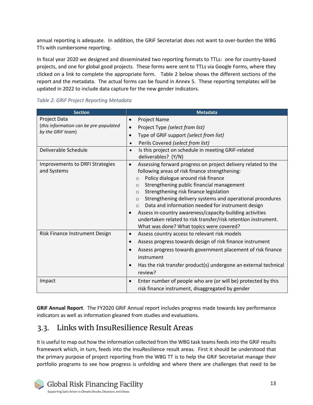annual reporting is adequate. In addition, the GRiF Secretariat does not want to over-burden the WBG TTs with cumbersome reporting.

In fiscal year 2020 we designed and disseminated two reporting formats to TTLs: one for country-based projects, and one for global good projects. These forms were sent to TTLs via Google Forms, where they clicked on a link to complete the appropriate form. [Table 2](#page-12-1) below shows the different sections of the report and the metadata. The actual forms can be found in Annex 5. These reporting templates will be updated in 2022 to include data capture for the new gender indicators.

<span id="page-12-1"></span>

|  |  |  |  | Table 2: GRIF Project Reporting Metadata |
|--|--|--|--|------------------------------------------|
|--|--|--|--|------------------------------------------|

| <b>Section</b>                                                                     | <b>Metadata</b>                                                                                                                                                                                                                                                                                                                                                                                                                                                                                                                                                                                               |
|------------------------------------------------------------------------------------|---------------------------------------------------------------------------------------------------------------------------------------------------------------------------------------------------------------------------------------------------------------------------------------------------------------------------------------------------------------------------------------------------------------------------------------------------------------------------------------------------------------------------------------------------------------------------------------------------------------|
| <b>Project Data</b><br>(this information can be pre-populated<br>by the GRiF team) | <b>Project Name</b><br>$\bullet$<br>Project Type (select from list)<br>$\bullet$                                                                                                                                                                                                                                                                                                                                                                                                                                                                                                                              |
|                                                                                    | Type of GRiF support (select from list)<br>$\bullet$<br>Perils Covered (select from list)<br>$\bullet$                                                                                                                                                                                                                                                                                                                                                                                                                                                                                                        |
| Deliverable Schedule                                                               | Is this project on schedule in meeting GRiF-related<br>$\bullet$<br>deliverables? (Y/N)                                                                                                                                                                                                                                                                                                                                                                                                                                                                                                                       |
| Improvements to DRFI Strategies<br>and Systems                                     | Assessing forward progress on project delivery related to the<br>$\bullet$<br>following areas of risk finance strengthening:<br>Policy dialogue around risk finance<br>$\circ$<br>Strengthening public financial management<br>$\circ$<br>Strengthening risk finance legislation<br>$\circ$<br>Strengthening delivery systems and operational procedures<br>$\circ$<br>Data and information needed for instrument design<br>$\circ$<br>Assess in-country awareness/capacity-building activities<br>undertaken related to risk transfer/risk retention instrument.<br>What was done? What topics were covered? |
| Risk Finance Instrument Design                                                     | Assess country access to relevant risk models<br>$\bullet$<br>Assess progress towards design of risk finance instrument<br>$\bullet$<br>Assess progress towards government placement of risk finance<br>instrument<br>Has the risk transfer product(s) undergone an external technical<br>review?                                                                                                                                                                                                                                                                                                             |
| Impact                                                                             | Enter number of people who are (or will be) protected by this<br>risk finance instrument, disaggregated by gender                                                                                                                                                                                                                                                                                                                                                                                                                                                                                             |

**GRiF Annual Report**. The FY2020 GRiF Annual report includes progress made towards key performance indicators as well as information gleaned from studies and evaluations.

## <span id="page-12-0"></span>3.3. Links with InsuResilience Result Areas

It is useful to map out how the information collected from the WBG task teams feeds into the GRiF results framework which, in turn, feeds into the InsuResilience result areas. First it should be understood that the primary purpose of project reporting from the WBG TT is to help the GRiF Secretariat manage their portfolio programs to see how progress is unfolding and where there are challenges that need to be

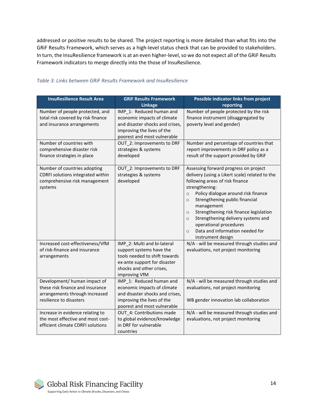addressed or positive results to be shared. The project reporting is more detailed than what fits into the GRiF Results Framework, which serves as a high-level status check that can be provided to stakeholders. In turn, the InsuResilience framework is at an even higher-level, so we do not expect all of the GRiF Results Framework indicators to merge directly into the those of InsuResilience.

| <b>InsuResilience Result Area</b>                                                                                             | <b>GRiF Results Framework</b><br><b>Linkage</b>                                                                                                                       | Possible indicator links from project<br>reporting                                                                                                                                                                                                                                                                                                                                                                                                            |
|-------------------------------------------------------------------------------------------------------------------------------|-----------------------------------------------------------------------------------------------------------------------------------------------------------------------|---------------------------------------------------------------------------------------------------------------------------------------------------------------------------------------------------------------------------------------------------------------------------------------------------------------------------------------------------------------------------------------------------------------------------------------------------------------|
| Number of people protected, and<br>total risk covered by risk finance<br>and insurance arrangements                           | IMP 1: Reduced human and<br>economic impacts of climate<br>and disaster shocks and crises,<br>improving the lives of the<br>poorest and most vulnerable               | Number of people protected by the risk<br>finance instrument (disaggregated by<br>poverty level and gender)                                                                                                                                                                                                                                                                                                                                                   |
| Number of countries with<br>comprehensive disaster risk<br>finance strategies in place                                        | OUT 2: Improvements to DRF<br>strategies & systems<br>developed                                                                                                       | Number and percentage of countries that<br>report improvements in DRF policy as a<br>result of the support provided by GRiF                                                                                                                                                                                                                                                                                                                                   |
| Number of countries adopting<br>CDRFI solutions integrated within<br>comprehensive risk management<br>systems                 | OUT_2: Improvements to DRF<br>strategies & systems<br>developed                                                                                                       | Assessing forward progress on project<br>delivery (using a Likert scale) related to the<br>following areas of risk finance<br>strengthening:<br>Policy dialogue around risk finance<br>$\circ$<br>Strengthening public financial<br>$\Omega$<br>management<br>Strengthening risk finance legislation<br>$\circ$<br>Strengthening delivery systems and<br>$\circ$<br>operational procedures<br>Data and information needed for<br>$\circ$<br>instrument design |
| Increased cost-effectiveness/VfM<br>of risk-finance and insurance<br>arrangements                                             | IMP_2: Multi and bi-lateral<br>support systems have the<br>tools needed to shift towards<br>ex-ante support for disaster<br>shocks and other crises,<br>improving VfM | N/A - will be measured through studies and<br>evaluations, not project monitoring                                                                                                                                                                                                                                                                                                                                                                             |
| Development/ human impact of<br>these risk finance and insurance<br>arrangements through increased<br>resilience to disasters | IMP_1: Reduced human and<br>economic impacts of climate<br>and disaster shocks and crises,<br>improving the lives of the<br>poorest and most vulnerable               | N/A - will be measured through studies and<br>evaluations, not project monitoring<br>WB gender innovation lab collaboration                                                                                                                                                                                                                                                                                                                                   |
| Increase in evidence relating to<br>the most effective and most cost-<br>efficient climate CDRFI solutions                    | OUT 4: Contributions made<br>to global evidence/knowledge<br>in DRF for vulnerable<br>countries                                                                       | N/A - will be measured through studies and<br>evaluations, not project monitoring                                                                                                                                                                                                                                                                                                                                                                             |

#### *Table 3: Links between GRiF Results Framework and InsuResilience*

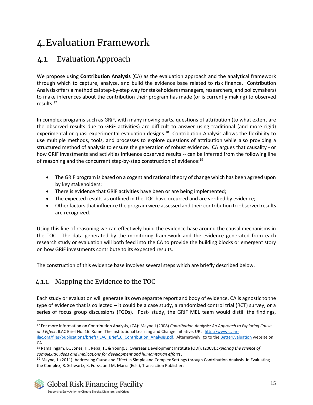# <span id="page-14-0"></span>4.Evaluation Framework

# <span id="page-14-1"></span>4.1. Evaluation Approach

We propose using **Contribution Analysis** (CA) as the evaluation approach and the analytical framework through which to capture, analyze, and build the evidence base related to risk finance. Contribution Analysis offers a methodical step-by-step way for stakeholders (managers, researchers, and policymakers) to make inferences about the contribution their program has made (or is currently making) to observed results. 17

In complex programs such as GRiF, with many moving parts, questions of attribution (to what extent are the observed results due to GRiF activities) are difficult to answer using traditional (and more rigid) experimental or quasi-experimental evaluation designs.<sup>18</sup> Contribution Analysis allows the flexibility to use multiple methods, tools, and processes to explore questions of attribution while also providing a structured method of analysis to ensure the generation of robust evidence. CA argues that causality - or how GRiF investments and activities influence observed results -- can be inferred from the following line of reasoning and the concurrent step-by-step construction of evidence:<sup>19</sup>

- The GRIF program is based on a cogent and rational theory of change which has been agreed upon by key stakeholders;
- There is evidence that GRiF activities have been or are being implemented;
- The expected results as outlined in the TOC have occurred and are verified by evidence;
- Other factors that influence the program were assessed and their contribution to observed results are recognized.

Using this line of reasoning we can effectively build the evidence base around the causal mechanisms in the TOC. The data generated by the monitoring framework and the evidence generated from each research study or evaluation will both feed into the CA to provide the building blocks or emergent story on how GRiF investments contribute to its expected results.

The construction of this evidence base involves several steps which are briefly described below.

## <span id="page-14-2"></span>4.1.1. Mapping the Evidence to the TOC

Each study or evaluation will generate its own separate report and body of evidence. CA is agnostic to the type of evidence that is collected – it could be a case study, a randomized control trial (RCT) survey, or a series of focus group discussions (FGDs). Post- study, the GRiF MEL team would distill the findings,

<sup>17</sup> For more information on Contribution Analysis, (CA): Mayne J (2008) *Contribution Analysis: An Approach to Exploring Cause and Effect*. ILAC Brief No. 16: Rome: The Institutional Learning and Change Initiative. URL[: http://www.cgiar-](http://www.cgiar-ilac.org/files/publications/briefs/ILAC_Brief16_Contribution_Analysis.pdf)

[ilac.org/files/publications/briefs/ILAC\\_Brief16\\_Contribution\\_Analysis.pdf.](http://www.cgiar-ilac.org/files/publications/briefs/ILAC_Brief16_Contribution_Analysis.pdf) Alternatively, go to th[e BetterEvaluation](https://www.betterevaluation.org/en/plan/approach/contribution_analysis) website on CA

<sup>18</sup> Ramalingam, B., Jones, H., Reba, T., & Young, J. Overseas Development Institute (ODI), (2008).*Exploring the science of complexity: Ideas and implications for development and humanitarian efforts*.

<sup>&</sup>lt;sup>19</sup> Mayne, J. (2011). Addressing Cause and Effect in Simple and Complex Settings through Contribution Analysis. In Evaluating the Complex, R. Schwartz, K. Forss, and M. Marra (Eds.), Transaction Publishers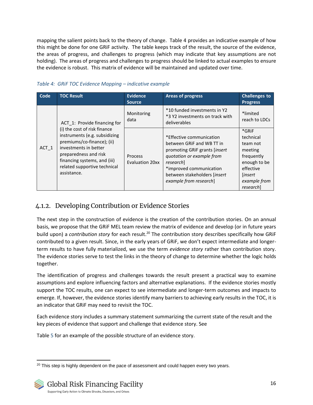mapping the salient points back to the theory of change. [Table 4](#page-15-1) provides an indicative example of how this might be done for one GRiF activity. The table keeps track of the result, the source of the evidence, the areas of progress, and challenges to progress (which may indicate that key assumptions are not holding). The areas of progress and challenges to progress should be linked to actual examples to ensure the evidence is robust. This matrix of evidence will be maintained and updated over time.

| Code    | <b>TOC Result</b>                                                                                                                                                                                                            | <b>Evidence</b><br><b>Source</b>         | <b>Areas of progress</b>                                                                                                                                                                                                      | <b>Challenges to</b><br><b>Progress</b>                                                                                                     |
|---------|------------------------------------------------------------------------------------------------------------------------------------------------------------------------------------------------------------------------------|------------------------------------------|-------------------------------------------------------------------------------------------------------------------------------------------------------------------------------------------------------------------------------|---------------------------------------------------------------------------------------------------------------------------------------------|
|         | ACT 1: Provide financing for                                                                                                                                                                                                 | Monitoring<br>data                       | *10 funded investments in Y2<br>*3 Y2 investments on track with<br>deliverables                                                                                                                                               | *limited<br>reach to LDCs                                                                                                                   |
| $ACT_1$ | (i) the cost of risk finance<br>instruments (e.g. subsidizing<br>premiums/co-finance); (ii)<br>investments in better<br>preparedness and risk<br>financing systems, and (iii)<br>related supportive technical<br>assistance. | <b>Process</b><br><b>Evaluation 20xx</b> | *Effective communication<br>between GRIF and WB TT in<br>promoting GRIF grants <i>linsert</i><br>quotation or example from<br>research]<br>*improved communication<br>between stakeholders [insert]<br>example from research] | *GRiF<br>technical<br>team not<br>meeting<br>frequently<br>enough to be<br>effective<br><i>linsert</i><br>example from<br><i>research</i> ] |

#### <span id="page-15-1"></span>*Table 4: GRiF TOC Evidence Mapping – indicative example*

### <span id="page-15-0"></span>4.1.2. Developing Contribution or Evidence Stories

The next step in the construction of evidence is the creation of the contribution stories. On an annual basis, we propose that the GRiF MEL team review the matrix of evidence and develop (or in future years build upon) a *contribution story* for each result.<sup>20</sup> The contribution story describes specifically how GRiF contributed to a given result. Since, in the early years of GRiF, we don't expect intermediate and longerterm results to have fully materialized, we use the term *evidence story* rather than contribution story. The evidence stories serve to test the links in the theory of change to determine whether the logic holds together.

The identification of progress and challenges towards the result present a practical way to examine assumptions and explore influencing factors and alternative explanations. If the evidence stories mostly support the TOC results, one can expect to see intermediate and longer-term outcomes and impacts to emerge. If, however, the evidence stories identify many barriers to achieving early results in the TOC, it is an indicator that GRiF may need to revisit the TOC.

Each evidence story includes a summary statement summarizing the current state of the result and the key pieces of evidence that support and challenge that evidence story. See

<span id="page-15-2"></span>[Table](#page-15-2) 5 for an example of the possible structure of an evidence story.

 $20$  This step is highly dependent on the pace of assessment and could happen every two years.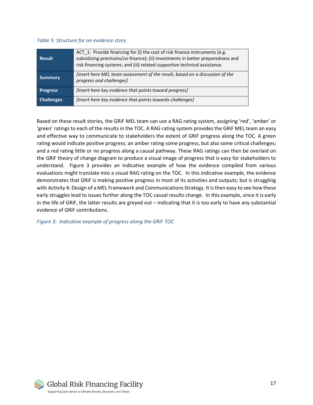#### *Table 5: Structure for an evidence story*

| <b>Result</b>     | ACT 1: Provide financing for (i) the cost of risk finance instruments (e.g.<br>subsidizing premiums/co-finance); (ii) investments in better preparedness and<br>risk financing systems; and (iii) related supportive technical assistance. |
|-------------------|--------------------------------------------------------------------------------------------------------------------------------------------------------------------------------------------------------------------------------------------|
| <b>Summary</b>    | <i>linsert here MEL team assessment of the result, based on a discussion of the</i><br>progress and challenges]                                                                                                                            |
| <b>Progress</b>   | [Insert here key evidence that points toward progress]                                                                                                                                                                                     |
| <b>Challenges</b> | [Insert here key evidence that points towards challenges]                                                                                                                                                                                  |

Based on these result stories, the GRiF MEL team can use a RAG rating system, assigning 'red', 'amber' or 'green' ratings to each of the results in the TOC. A RAG rating system provides the GRiF MEL team an easy and effective way to communicate to stakeholders the extent of GRiF progress along the TOC. A green rating would indicate positive progress; an amber rating some progress, but also some critical challenges; and a red rating little or no progress along a causal pathway. These RAG ratings can then be overlaid on the GRiF theory of change diagram to produce a visual image of progress that is easy for stakeholders to understand. [Figure 3](#page-16-0) provides an indicative example of how the evidence compiled from various evaluations might translate into a visual RAG rating on the TOC. In this indicative example, the evidence demonstrates that GRiF is making positive progress in most of its activities and outputs; but is struggling with Activity 4: Design of a MEL Framework and Communications Strategy. It is then easy to see how these early struggles lead to issues further along the TOC causal results change. In this example, since it is early in the life of GRiF, the latter results are greyed out – indicating that it is too early to have any substantial evidence of GRiF contributions.

<span id="page-16-0"></span>*Figure 3: Indicative example of progress along the GRiF TOC* 

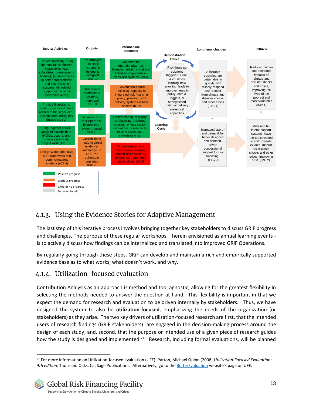

## <span id="page-17-0"></span>4.1.3. Using the Evidence Stories for Adaptive Management

The last step of this iterative process involves bringing together key stakeholders to discuss GRiF progress and challenges. The purpose of these regular workshops – herein envisioned as annual learning events is to actively discuss how findings can be internalized and translated into improved GRiF Operations.

By regularly going through these steps, GRiF can develop and maintain a rich and empirically supported evidence base as to what works, what doesn't work, and why.

## <span id="page-17-1"></span>4.1.4. Utilization-focused evaluation

Contribution Analysis as an approach is method and tool agnostic, allowing for the greatest flexibility in selecting the methods needed to answer the question at hand. This flexibility is important in that we expect the demand for research and evaluation to be driven internally by stakeholders. Thus, we have designed the system to also be **utilization-focused**, emphasizing the needs of the organization (or stakeholders) as they arise. The two key drivers of utilization-focused research are first, that the intended users of research findings (GRiF stakeholders) are engaged in the decision-making process around the design of each study; and, second, that the purpose or intended use of a given piece of research guides how the study is designed and implemented.<sup>21</sup> Research, including formal evaluations, will be planned

<sup>21</sup> For more information on Utilization-focused evaluation (UFE): Patton, Michael Quinn (2008) *Utilization-Focused Evaluation: 4th edition*. Thousand Oaks, Ca: Sage Publications. Alternatively, go to th[e BetterEvaluation](https://www.betterevaluation.org/en/plan/approach/utilization_focused_evaluation) website's page on UFE.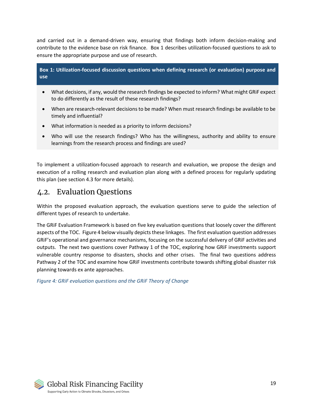and carried out in a demand-driven way, ensuring that findings both inform decision-making and contribute to the evidence base on risk finance. [Box 1](#page-18-1) describes utilization-focused questions to ask to ensure the appropriate purpose and use of research.

<span id="page-18-1"></span>**Box 1: Utilization-focused discussion questions when defining research (or evaluation) purpose and use**

- What decisions, if any, would the research findings be expected to inform? What might GRiF expect to do differently as the result of these research findings?
- When are research-relevant decisions to be made? When must research findings be available to be timely and influential?
- What information is needed as a priority to inform decisions?
- Who will use the research findings? Who has the willingness, authority and ability to ensure learnings from the research process and findings are used?

To implement a utilization-focused approach to research and evaluation, we propose the design and execution of a rolling research and evaluation plan along with a defined process for regularly updating this plan (see section [4.3](#page-21-0) for more details).

## <span id="page-18-0"></span>4.2. Evaluation Questions

Within the proposed evaluation approach, the evaluation questions serve to guide the selection of different types of research to undertake.

The GRiF Evaluation Framework is based on five key evaluation questions that loosely cover the different aspects of the TOC. [Figure 4](#page-18-2) below visually depicts these linkages. The first evaluation question addresses GRiF's operational and governance mechanisms, focusing on the successful delivery of GRiF activities and outputs. The next two questions cover Pathway 1 of the TOC, exploring how GRiF investments support vulnerable country response to disasters, shocks and other crises. The final two questions address Pathway 2 of the TOC and examine how GRiF investments contribute towards shifting global disaster risk planning towards ex ante approaches.

<span id="page-18-2"></span>*Figure 4: GRiF evaluation questions and the GRiF Theory of Change*

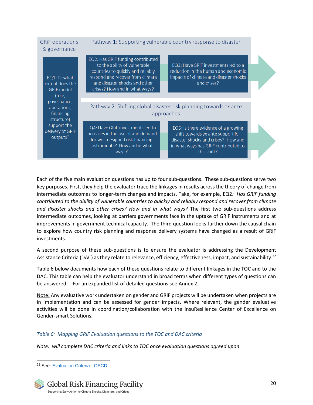| <b>GRIF</b> operations<br>& governance                         | Pathway 1: Supporting vulnerable country response to disaster                                                                                                                                                |                                                                                                                                                                        |  |  |  |
|----------------------------------------------------------------|--------------------------------------------------------------------------------------------------------------------------------------------------------------------------------------------------------------|------------------------------------------------------------------------------------------------------------------------------------------------------------------------|--|--|--|
| EQ1: To what<br>extent does the<br><b>GRiF</b> model<br>(role, | EQ2: Has GRiF funding contributed<br>to the ability of vulnerable<br>countries to quickly and reliably<br>respond and recover from climate<br>and disaster shocks and other<br>crises? How and in what ways? | EQ3: Have GRIF investments led to a<br>reduction in the human and economic<br>impacts of climate and disaster shocks<br>and crises?                                    |  |  |  |
| governance,<br>operations,<br>financing<br>structure)          |                                                                                                                                                                                                              | Pathway 2: Shifting global disaster risk planning towards ex ante<br>approaches                                                                                        |  |  |  |
| support the<br>delivery of GRIF<br>outputs?                    | EQ4: Have GRIF investments led to<br>increases in the use of and demand<br>for well-designed risk financing<br>instruments? How and in what<br>ways?                                                         | EQ5: Is there evidence of a growing<br>shift towards ex ante support for<br>disaster shocks and crises? How and<br>in what ways has GRIF contributed to<br>this shift? |  |  |  |

Each of the five main evaluation questions has up to four sub-questions. These sub-questions serve two key purposes. First, they help the evaluator trace the linkages in results across the theory of change from intermediate outcomes to longer-term changes and impacts. Take, for example, EQ2*: Has GRiF funding contributed to the ability of vulnerable countries to quickly and reliably respond and recover from climate and disaster shocks and other crises? How and in what ways?* The first two sub-questions address intermediate outcomes, looking at barriers governments face in the uptake of GRiF instruments and at improvements in government technical capacity. The third question looks further down the causal chain to explore how country risk planning and response delivery systems have changed as a result of GRiF investments.

A second purpose of these sub-questions is to ensure the evaluator is addressing the Development Assistance Criteria (DAC) as they relate to relevance, efficiency, effectiveness, impact, and sustainability.<sup>22</sup>

[Table 6](#page-19-0) below documents how each of these questions relate to different linkages in the TOC and to the DAC. This table can help the evaluator understand in broad terms when different types of questions can be answered. For an expanded list of detailed questions see Annex 2.

Note: Any evaluative work undertaken on gender and GRiF projects will be undertaken when projects are in implementation and can be assessed for gender impacts. Where relevant, the gender evaluative activities will be done in coordination/collaboration with the InsuResilience Center of Excellence on Gender-smart Solutions.

#### <span id="page-19-0"></span>*Table 6: Mapping GRiF Evaluation questions to the TOC and DAC criteria*

*Note: will complete DAC criteria and links to TOC once evaluation questions agreed upon*

<sup>22</sup> See: [Evaluation Criteria -](https://www.oecd.org/dac/evaluation/daccriteriaforevaluatingdevelopmentassistance.htm) OECD

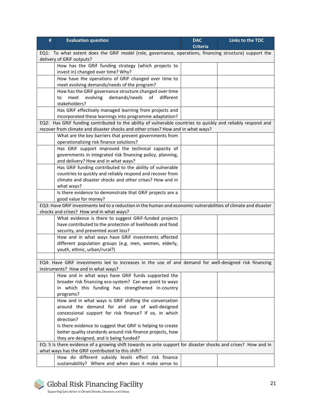| #                                                                                                                                                                  | <b>Evaluation question</b>                                                                                      | <b>DAC</b>      | Links to the TOC |  |  |  |  |
|--------------------------------------------------------------------------------------------------------------------------------------------------------------------|-----------------------------------------------------------------------------------------------------------------|-----------------|------------------|--|--|--|--|
|                                                                                                                                                                    |                                                                                                                 | <b>Criteria</b> |                  |  |  |  |  |
| EQ1: To what extent does the GRIF model (role, governance, operations, financing structure) support the                                                            |                                                                                                                 |                 |                  |  |  |  |  |
|                                                                                                                                                                    | delivery of GRiF outputs?                                                                                       |                 |                  |  |  |  |  |
|                                                                                                                                                                    | How has the GRIF funding strategy (which projects to                                                            |                 |                  |  |  |  |  |
|                                                                                                                                                                    | invest in) changed over time? Why?                                                                              |                 |                  |  |  |  |  |
|                                                                                                                                                                    | How have the operations of GRiF changed over time to                                                            |                 |                  |  |  |  |  |
|                                                                                                                                                                    | meet evolving demands/needs of the program?                                                                     |                 |                  |  |  |  |  |
|                                                                                                                                                                    | How has the GRiF governance structure changed over time                                                         |                 |                  |  |  |  |  |
|                                                                                                                                                                    | demands/needs<br>evolving<br>of<br>different<br>meet<br>to<br>stakeholders?                                     |                 |                  |  |  |  |  |
|                                                                                                                                                                    | Has GRiF effectively managed learning from projects and                                                         |                 |                  |  |  |  |  |
|                                                                                                                                                                    | incorporated these learnings into programme adaptation?                                                         |                 |                  |  |  |  |  |
|                                                                                                                                                                    | EQ2: Has GRiF funding contributed to the ability of vulnerable countries to quickly and reliably respond and    |                 |                  |  |  |  |  |
|                                                                                                                                                                    | recover from climate and disaster shocks and other crises? How and in what ways?                                |                 |                  |  |  |  |  |
|                                                                                                                                                                    | What are the key barriers that prevent governments from                                                         |                 |                  |  |  |  |  |
|                                                                                                                                                                    | operationalizing risk finance solutions?                                                                        |                 |                  |  |  |  |  |
|                                                                                                                                                                    | Has GRiF support improved the technical capacity of                                                             |                 |                  |  |  |  |  |
|                                                                                                                                                                    | governments in integrated risk financing policy, planning,                                                      |                 |                  |  |  |  |  |
|                                                                                                                                                                    | and delivery? How and in what ways?                                                                             |                 |                  |  |  |  |  |
|                                                                                                                                                                    | Has GRiF funding contributed to the ability of vulnerable                                                       |                 |                  |  |  |  |  |
|                                                                                                                                                                    | countries to quickly and reliably respond and recover from                                                      |                 |                  |  |  |  |  |
|                                                                                                                                                                    | climate and disaster shocks and other crises? How and in                                                        |                 |                  |  |  |  |  |
|                                                                                                                                                                    | what ways?                                                                                                      |                 |                  |  |  |  |  |
|                                                                                                                                                                    | Is there evidence to demonstrate that GRiF projects are a                                                       |                 |                  |  |  |  |  |
|                                                                                                                                                                    | good value for money?                                                                                           |                 |                  |  |  |  |  |
|                                                                                                                                                                    | EQ3: Have GRIF investments led to a reduction in the human and economic vulnerabilities of climate and disaster |                 |                  |  |  |  |  |
|                                                                                                                                                                    | shocks and crises? How and in what ways?                                                                        |                 |                  |  |  |  |  |
|                                                                                                                                                                    | What evidence is there to suggest GRiF-funded projects                                                          |                 |                  |  |  |  |  |
|                                                                                                                                                                    | have contributed to the protection of livelihoods and food                                                      |                 |                  |  |  |  |  |
|                                                                                                                                                                    | security, and prevented asset loss?                                                                             |                 |                  |  |  |  |  |
|                                                                                                                                                                    | How and in what ways have GRiF investments affected                                                             |                 |                  |  |  |  |  |
|                                                                                                                                                                    | different population groups (e.g. men, women, elderly,                                                          |                 |                  |  |  |  |  |
|                                                                                                                                                                    | youth, ethnic, urban/rural?)                                                                                    |                 |                  |  |  |  |  |
|                                                                                                                                                                    |                                                                                                                 |                 |                  |  |  |  |  |
|                                                                                                                                                                    | EQ4: Have GRiF investments led to increases in the use of and demand for well-designed risk financing           |                 |                  |  |  |  |  |
|                                                                                                                                                                    | instruments? How and in what ways?                                                                              |                 |                  |  |  |  |  |
|                                                                                                                                                                    | How and in what ways have GRiF funds supported the                                                              |                 |                  |  |  |  |  |
|                                                                                                                                                                    | broader risk financing eco-system? Can we point to ways                                                         |                 |                  |  |  |  |  |
|                                                                                                                                                                    | in which this funding has strengthened in-country                                                               |                 |                  |  |  |  |  |
|                                                                                                                                                                    | programs?                                                                                                       |                 |                  |  |  |  |  |
|                                                                                                                                                                    | How and in what ways is GRiF shifting the conversation<br>around the demand for and use of well-designed        |                 |                  |  |  |  |  |
|                                                                                                                                                                    |                                                                                                                 |                 |                  |  |  |  |  |
|                                                                                                                                                                    | concessional support for risk finance? If so, in which<br>direction?                                            |                 |                  |  |  |  |  |
|                                                                                                                                                                    | Is there evidence to suggest that GRIF is helping to create                                                     |                 |                  |  |  |  |  |
|                                                                                                                                                                    | better quality standards around risk finance projects, how                                                      |                 |                  |  |  |  |  |
|                                                                                                                                                                    | they are designed, and is being funded?                                                                         |                 |                  |  |  |  |  |
|                                                                                                                                                                    |                                                                                                                 |                 |                  |  |  |  |  |
| EQ: 5 Is there evidence of a growing shift towards ex ante support for disaster shocks and crises? How and in<br>what ways has the GRIF contributed to this shift? |                                                                                                                 |                 |                  |  |  |  |  |
|                                                                                                                                                                    | How do different subsidy levels effect risk finance                                                             |                 |                  |  |  |  |  |
|                                                                                                                                                                    | sustainability? Where and when does it make sense to                                                            |                 |                  |  |  |  |  |

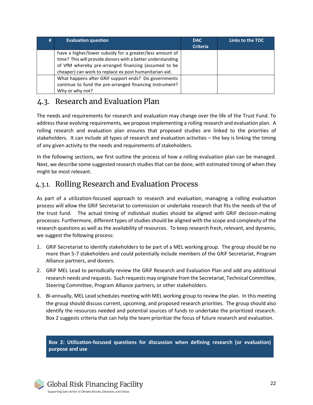| # | <b>Evaluation question</b>                                                                                                                                                                                                               | <b>DAC</b><br><b>Criteria</b> | Links to the TOC |
|---|------------------------------------------------------------------------------------------------------------------------------------------------------------------------------------------------------------------------------------------|-------------------------------|------------------|
|   | have a higher/lower subsidy for a greater/less amount of<br>time? This will provide donors with a better understanding<br>of VfM whereby pre-arranged financing (assumed to be<br>cheaper) can work to replace ex post humanitarian aid. |                               |                  |
|   | What happens after GRIF support ends? Do governments<br>continue to fund the pre-arranged financing instrument?<br>Why or why not?                                                                                                       |                               |                  |

# <span id="page-21-0"></span>4.3. Research and Evaluation Plan

The needs and requirements for research and evaluation may change over the life of the Trust Fund. To address these evolving requirements, we propose implementing a rolling research and evaluation plan. A rolling research and evaluation plan ensures that proposed studies are linked to the priorities of stakeholders. It can include all types of research and evaluation activities – the key is linking the timing of any given activity to the needs and requirements of stakeholders.

In the following sections, we first outline the process of how a rolling evaluation plan can be managed. Next, we describe some suggested research studies that can be done, with estimated timing of when they might be most relevant.

# <span id="page-21-1"></span>4.3.1. Rolling Research and Evaluation Process

As part of a utilization-focused approach to research and evaluation, managing a rolling evaluation process will allow the GRiF Secretariat to commission or undertake research that fits the needs of the of the trust fund. The actual timing of individual studies should be aligned with GRiF decision-making processes. Furthermore, different types of studies should be aligned with the scope and complexity of the research questions as well as the availability of resources. To keep research fresh, relevant, and dynamic, we suggest the following process:

- 1. GRiF Secretariat to identify stakeholders to be part of a MEL working group. The group should be no more than 5-7 stakeholders and could potentially include members of the GRiF Secretariat, Program Alliance partners, and donors.
- 2. GRiF MEL Lead to periodically review the GRiF Research and Evaluation Plan and add any additional research needs and requests. Such requests may originate from the Secretariat, Technical Committee, Steering Committee, Program Alliance partners, or other stakeholders.
- 3. Bi-annually, MEL Lead schedules meeting with MEL working group to review the plan. In this meeting the group should discuss current, upcoming, and proposed research priorities. The group should also identify the resources needed and potential sources of funds to undertake the prioritized research. [Box 2](#page-21-2) suggests criteria that can help the team prioritize the focus of future research and evaluation.

<span id="page-21-2"></span>**Box 2: Utilization-focused questions for discussion when defining research (or evaluation) purpose and use**

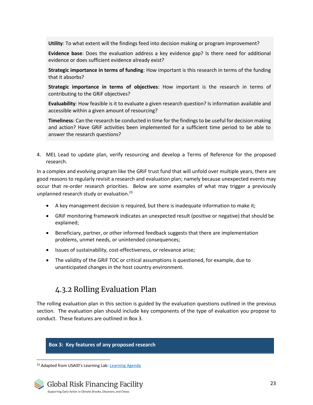**Utility**: To what extent will the findings feed into decision making or program improvement?

**Evidence base**: Does the evaluation address a key evidence gap? Is there need for additional evidence or does sufficient evidence already exist?

**Strategic importance in terms of funding**: How important is this research in terms of the funding that it absorbs?

**Strategic importance in terms of objectives**: How important is the research in terms of contributing to the GRiF objectives?

**Evaluability**: How feasible is it to evaluate a given research question? Is information available and accessible within a given amount of resourcing?

**Timeliness**: Can the research be conducted in time for the findings to be useful for decision making and action? Have GRiF activities been implemented for a sufficient time period to be able to answer the research questions?

4. MEL Lead to update plan, verify resourcing and develop a Terms of Reference for the proposed research.

In a complex and evolving program like the GRiF trust fund that will unfold over multiple years, there are good reasons to regularly revisit a research and evaluation plan; namely because unexpected events may occur that re-order research priorities. Below are some examples of what may trigger a previously unplanned research study or evaluation. 23

- A key management decision is required, but there is inadequate information to make it;
- GRiF monitoring framework indicates an unexpected result (positive or negative) that should be explained;
- Beneficiary, partner, or other informed feedback suggests that there are implementation problems, unmet needs, or unintended consequences;
- Issues of sustainability, cost-effectiveness, or relevance arise;
- The validity of the GRiF TOC or critical assumptions is questioned, for example, due to unanticipated changes in the host country environment.

# 4.3.2 Rolling Evaluation Plan

<span id="page-22-0"></span>The rolling evaluation plan in this section is guided by the evaluation questions outlined in the previous section. The evaluation plan should include key components of the type of evaluation you propose to conduct. These features are outlined in [Box 3.](#page-22-1)

<span id="page-22-1"></span>**Box 3: Key features of any proposed research** 

<sup>&</sup>lt;sup>23</sup> Adapted from USAID's Learning Lab: [Learning Agenda](https://usaidlearninglab.org/node/14637)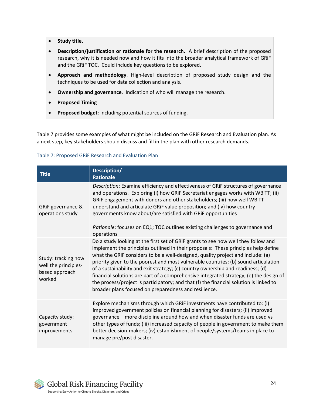- **Study title.**
- **Description/justification or rationale for the research.** A brief description of the proposed research, why it is needed now and how it fits into the broader analytical framework of GRiF and the GRiF TOC. Could include key questions to be explored.
- **Approach and methodology**. High-level description of proposed study design and the techniques to be used for data collection and analysis.
- **Ownership and governance**. Indication of who will manage the research.
- **Proposed Timing**
- **Proposed budget**: including potential sources of funding.

[Table 7](#page-23-0) provides some examples of what might be included on the GRiF Research and Evaluation plan. As a next step, key stakeholders should discuss and fill in the plan with other research demands.

#### <span id="page-23-0"></span>Table 7: Proposed GRiF Research and Evaluation Plan

| <b>Title</b>                                                            | Description/<br><b>Rationale</b>                                                                                                                                                                                                                                                                                                                                                                                                                                                                                                                                                                                                                                                   |
|-------------------------------------------------------------------------|------------------------------------------------------------------------------------------------------------------------------------------------------------------------------------------------------------------------------------------------------------------------------------------------------------------------------------------------------------------------------------------------------------------------------------------------------------------------------------------------------------------------------------------------------------------------------------------------------------------------------------------------------------------------------------|
| GRiF governance &<br>operations study                                   | Description: Examine efficiency and effectiveness of GRIF structures of governance<br>and operations. Exploring (i) how GRiF Secretariat engages works with WB TT; (ii)<br>GRIF engagement with donors and other stakeholders; (iii) how well WB TT<br>understand and articulate GRIF value proposition; and (iv) how country<br>governments know about/are satisfied with GRiF opportunities<br>Rationale: focuses on EQ1; TOC outlines existing challenges to governance and<br>operations                                                                                                                                                                                       |
| Study: tracking how<br>well the principles-<br>based approach<br>worked | Do a study looking at the first set of GRiF grants to see how well they follow and<br>implement the principles outlined in their proposals: These principles help define<br>what the GRIF considers to be a well-designed, quality project and include: (a)<br>priority given to the poorest and most vulnerable countries; (b) sound articulation<br>of a sustainability and exit strategy; (c) country ownership and readiness; (d)<br>financial solutions are part of a comprehensive integrated strategy; (e) the design of<br>the process/project is participatory; and that (f) the financial solution is linked to<br>broader plans focused on preparedness and resilience. |
| Capacity study:<br>government<br>improvements                           | Explore mechanisms through which GRIF investments have contributed to: (i)<br>improved government policies on financial planning for disasters; (ii) improved<br>governance - more discipline around how and when disaster funds are used vs<br>other types of funds; (iii) increased capacity of people in government to make them<br>better decision-makers; (iv) establishment of people/systems/teams in place to<br>manage pre/post disaster.                                                                                                                                                                                                                                 |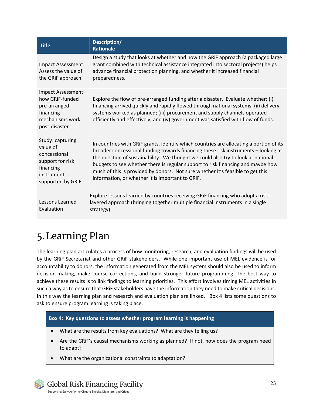| <b>Title</b>                                                                                                      | Description/<br><b>Rationale</b>                                                                                                                                                                                                                                                                                                                                                                                                                                                           |
|-------------------------------------------------------------------------------------------------------------------|--------------------------------------------------------------------------------------------------------------------------------------------------------------------------------------------------------------------------------------------------------------------------------------------------------------------------------------------------------------------------------------------------------------------------------------------------------------------------------------------|
| Impact Assessment:<br>Assess the value of<br>the GRIF approach                                                    | Design a study that looks at whether and how the GRIF approach (a packaged large<br>grant combined with technical assistance integrated into sectoral projects) helps<br>advance financial protection planning, and whether it increased financial<br>preparedness.                                                                                                                                                                                                                        |
| Impact Assessment:<br>how GRIF-funded<br>pre-arranged<br>financing<br>mechanisms work<br>post-disaster            | Explore the flow of pre-arranged funding after a disaster. Evaluate whether: (i)<br>financing arrived quickly and rapidly flowed through national systems; (ii) delivery<br>systems worked as planned; (iii) procurement and supply channels operated<br>efficiently and effectively; and (iv) government was satisfied with flow of funds.                                                                                                                                                |
| Study: capturing<br>value of<br>concessional<br>support for risk<br>financing<br>instruments<br>supported by GRIF | In countries with GRIF grants, identify which countries are allocating a portion of its<br>broader concessional funding towards financing these risk instruments - looking at<br>the question of sustainability. We thought we could also try to look at national<br>budgets to see whether there is regular support to risk financing and maybe how<br>much of this is provided by donors. Not sure whether it's feasible to get this<br>information, or whether it is important to GRIF. |
| Lessons Learned<br>Evaluation                                                                                     | Explore lessons learned by countries receiving GRIF financing who adopt a risk-<br>layered approach (bringing together multiple financial instruments in a single<br>strategy).                                                                                                                                                                                                                                                                                                            |

# <span id="page-24-0"></span>5.Learning Plan

The learning plan articulates a process of how monitoring, research, and evaluation findings will be used by the GRiF Secretariat and other GRiF stakeholders. While one important use of MEL evidence is for accountability to donors, the information generated from the MEL system should also be used to inform decision-making, make course corrections, and build stronger future programming. The best way to achieve these results is to link findings to learning priorities. This effort involves timing MEL activities in such a way as to ensure that GRiF stakeholders have the information they need to make critical decisions. In this way the learning plan and research and evaluation plan are linked. [Box 4](#page-24-1) lists some questions to ask to ensure program learning is taking place.

#### <span id="page-24-1"></span>**Box 4: Key questions to assess whether program learning is happening**

- What are the results from key evaluations? What are they telling us?
- Are the GRiF's causal mechanisms working as planned? If not, how does the program need to adapt?
- What are the organizational constraints to adaptation?

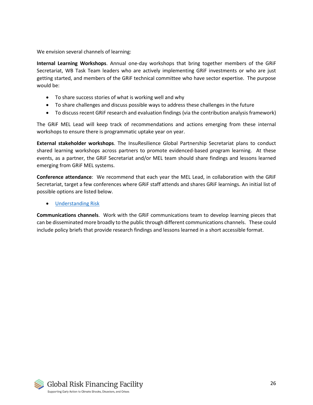We envision several channels of learning:

**Internal Learning Workshops**. Annual one-day workshops that bring together members of the GRiF Secretariat, WB Task Team leaders who are actively implementing GRiF investments or who are just getting started, and members of the GRiF technical committee who have sector expertise. The purpose would be:

- To share success stories of what is working well and why
- To share challenges and discuss possible ways to address these challenges in the future
- To discuss recent GRiF research and evaluation findings (via the contribution analysis framework)

The GRiF MEL Lead will keep track of recommendations and actions emerging from these internal workshops to ensure there is programmatic uptake year on year.

**External stakeholder workshops**. The InsuResilience Global Partnership Secretariat plans to conduct shared learning workshops across partners to promote evidenced-based program learning. At these events, as a partner, the GRiF Secretariat and/or MEL team should share findings and lessons learned emerging from GRiF MEL systems.

**Conference attendance**: We recommend that each year the MEL Lead, in collaboration with the GRiF Secretariat, target a few conferences where GRiF staff attends and shares GRiF learnings. An initial list of possible options are listed below.

#### • [Understanding Risk](https://understandrisk.org/event/ur2020/)

**Communications channels**. Work with the GRiF communications team to develop learning pieces that can be disseminated more broadly to the public through different communications channels. These could include policy briefs that provide research findings and lessons learned in a short accessible format.

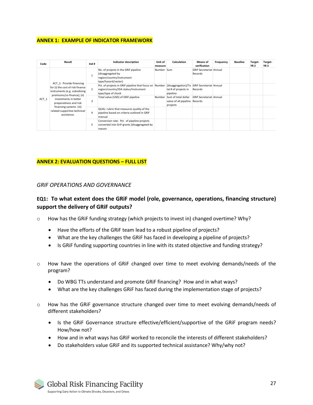#### **ANNEX 1: EXAMPLE OF INDICATOR FRAMEWORK**

| Code  | Result                                                                                                                                                                                                                                                  | Ind#           | <b>Indicator description</b>                                                                                         | Unit of<br>measure | Calculation                                                                     | Means of<br>verification                  | Frequency | <b>Baseline</b> | Target-<br>YR 2 | Target-<br>YR <sub>3</sub> |
|-------|---------------------------------------------------------------------------------------------------------------------------------------------------------------------------------------------------------------------------------------------------------|----------------|----------------------------------------------------------------------------------------------------------------------|--------------------|---------------------------------------------------------------------------------|-------------------------------------------|-----------|-----------------|-----------------|----------------------------|
| ACT 1 | ACT 1: Provide financing<br>for (i) the cost of risk finance<br>instruments (e.g. subsidizing<br>premiums/co-finance); (ii)<br>investments in better<br>preparedness and risk<br>financing systems (iii)<br>related supportive technical<br>assistance. |                | No. of projects in the GRiF pipeline<br>(disaggregated by<br>region/country/instrument<br>type/hazard/sector)        | Number Sum         |                                                                                 | <b>GRIF Secretariat Annual</b><br>Records |           |                 |                 |                            |
|       |                                                                                                                                                                                                                                                         | $\mathfrak{p}$ | Pct. of projects in GRIF pipeline that focus on Number<br>region/country/IDA status/Instrument<br>type/type of shock |                    | [disaggregation]/To GRiF Secretariat Annual<br>tal # of projects in<br>pipeline | Records                                   |           |                 |                 |                            |
|       |                                                                                                                                                                                                                                                         | 3              | Total value (USD) of GRIF pipeline                                                                                   | Number             | Sum of total dollar<br>value of all pipeline Records<br>projects                | <b>GRIF Secretariat Annual</b>            |           |                 |                 |                            |
|       |                                                                                                                                                                                                                                                         | 4              | QUAL: rubric that measures quality of the<br>pipeline based on criteria outlined in GRIF<br>manual                   |                    |                                                                                 |                                           |           |                 |                 |                            |
|       |                                                                                                                                                                                                                                                         | 5              | Conversion rate: Pct. of pipeline projects<br>converted into GriF grants (disaggregated by<br>reason                 |                    |                                                                                 |                                           |           |                 |                 |                            |

#### **ANNEX 2: EVALUATION QUESTIONS – FULL LIST**

#### *GRIF OPERATIONS AND GOVERNANCE*

#### **EQ1: To what extent does the GRiF model (role, governance, operations, financing structure) support the delivery of GRiF outputs?**

- o How has the GRiF funding strategy (which projects to invest in) changed overtime? Why?
	- Have the efforts of the GRiF team lead to a robust pipeline of projects?
	- What are the key challenges the GRiF has faced in developing a pipeline of projects?
	- Is GRiF funding supporting countries in line with its stated objective and funding strategy?
- o How have the operations of GRiF changed over time to meet evolving demands/needs of the program?
	- Do WBG TTs understand and promote GRiF financing? How and in what ways?
	- What are the key challenges GRiF has faced during the implementation stage of projects?
- o How has the GRiF governance structure changed over time to meet evolving demands/needs of different stakeholders?
	- Is the GRiF Governance structure effective/efficient/supportive of the GRiF program needs? How/how not?
	- How and in what ways has GRiF worked to reconcile the interests of different stakeholders?
	- Do stakeholders value GRiF and its supported technical assistance? Why/why not?

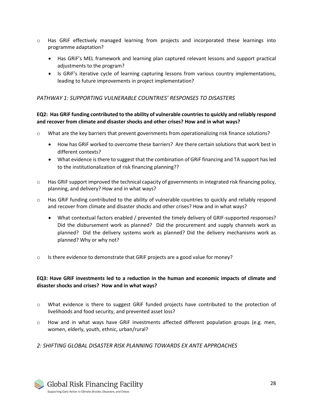- o Has GRiF effectively managed learning from projects and incorporated these learnings into programme adaptation?
	- Has GRiF's MEL framework and learning plan captured relevant lessons and support practical adjustments to the program?
	- Is GRiF's iterative cycle of learning capturing lessons from various country implementations, leading to future improvements in project implementation?

#### *PATHWAY 1: SUPPORTING VULNERABLE COUNTRIES' RESPONSES TO DISASTERS*

#### **EQ2: Has GRiF funding contributed to the ability of vulnerable countries to quickly and reliably respond and recover from climate and disaster shocks and other crises? How and in what ways?**

- o What are the key barriers that prevent governments from operationalizing risk finance solutions?
	- How has GRiF worked to overcome these barriers? Are there certain solutions that work best in different contexts?
	- What evidence is there to suggest that the combination of GRiF financing and TA support has led to the institutionalization of risk financing planning??
- $\circ$  Has GRIF support improved the technical capacity of governments in integrated risk financing policy, planning, and delivery? How and in what ways?
- o Has GRiF funding contributed to the ability of vulnerable countries to quickly and reliably respond and recover from climate and disaster shocks and other crises? How and in what ways?
	- What contextual factors enabled / prevented the timely delivery of GRIF-supported responses? Did the disbursement work as planned? Did the procurement and supply channels work as planned? Did the delivery systems work as planned? Did the delivery mechanisms work as planned? Why or why not?
- $\circ$  Is there evidence to demonstrate that GRIF projects are a good value for money?

#### **EQ3: Have GRiF investments led to a reduction in the human and economic impacts of climate and disaster shocks and crises? How and in what ways?**

- $\circ$  What evidence is there to suggest GRIF funded projects have contributed to the protection of livelihoods and food security, and prevented asset loss?
- How and in what ways have GRIF investments affected different population groups (e.g. men, women, elderly, youth, ethnic, urban/rural?

#### *2: SHIFTING GLOBAL DISASTER RISK PLANNING TOWARDS EX ANTE APPROACHES*

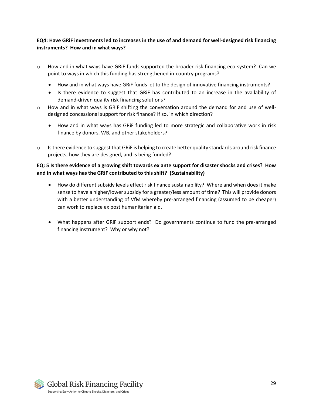#### **EQ4: Have GRiF investments led to increases in the use of and demand for well-designed risk financing instruments? How and in what ways?**

- $\circ$  How and in what ways have GRIF funds supported the broader risk financing eco-system? Can we point to ways in which this funding has strengthened in-country programs?
	- How and in what ways have GRiF funds let to the design of innovative financing instruments?
	- Is there evidence to suggest that GRiF has contributed to an increase in the availability of demand-driven quality risk financing solutions?
- o How and in what ways is GRiF shifting the conversation around the demand for and use of welldesigned concessional support for risk finance? If so, in which direction?
	- How and in what ways has GRiF funding led to more strategic and collaborative work in risk finance by donors, WB, and other stakeholders?
- o Is there evidence to suggest that GRiF is helping to create better quality standards around risk finance projects, how they are designed, and is being funded?

#### **EQ: 5 Is there evidence of a growing shift towards ex ante support for disaster shocks and crises? How and in what ways has the GRiF contributed to this shift? (Sustainability)**

- How do different subsidy levels effect risk finance sustainability? Where and when does it make sense to have a higher/lower subsidy for a greater/less amount of time? This will provide donors with a better understanding of VfM whereby pre-arranged financing (assumed to be cheaper) can work to replace ex post humanitarian aid.
- What happens after GRiF support ends? Do governments continue to fund the pre-arranged financing instrument? Why or why not?

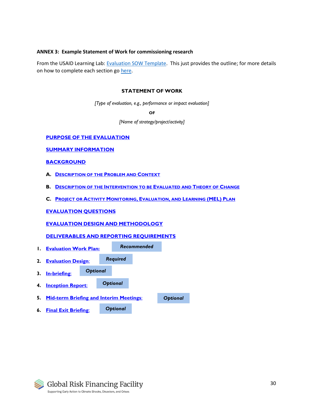#### **ANNEX 3: Example Statement of Work for commissioning research**

From the USAID Learning Lab: [Evaluation SOW Template.](https://usaidlearninglab.org/library/evaluation-statement-work-template) This just provides the outline; for more details on how to complete each section g[o here.](https://usaidlearninglab.org/library/evaluation-statement-work-template)

#### **STATEMENT OF WORK**

*[Type of evaluation, e.g., performance or impact evaluation]*

**OF**

*[Name of strategy/project/activity]*

#### **I. PURPOSE OF THE EVALUATION**

**II. SUMMARY INFORMATION**

#### **III. BACKGROUND**

- **A. DESCRIPTION OF THE PROBLEM AND CONTEXT**
- **B. DESCRIPTION OF THE INTERVENTION TO BE EVALUATED AND THEORY OF CHANGE**
- **C. PROJECT OR ACTIVITY MONITORING, EVALUATION, AND LEARNING (MEL) PLAN**

#### **IV. EVALUATION QUESTIONS**

#### **V. EVALUATION DESIGN AND METHODOLOGY**

#### **VI. DELIVERABLES AND REPORTING REQUIREMENTS**

**1. Evaluation Work Plan: 2. Evaluation Design**: **3. In-briefing**: **4. Inception Report**: **5. Mid-term Briefing and Interim Meetings**: **6. Final Exit Briefing**: *Recommended Required Optional Optional Optional Optional*

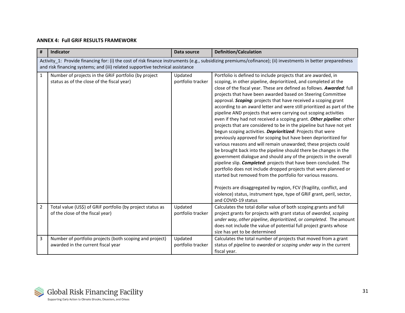#### **ANNEX 4: Full GRiF RESULTS FRAMEWORK**

| #              | Indicator                                                                                          | Data source                  | <b>Definition/Calculation</b>                                                                                                                                                                                                                                                                                                                                                                                                                                                                                                                                                                                                                                                                                                                                                                                                                                                                                                                                                                                                                                                                                                                                                                                                                                                                                                                                      |
|----------------|----------------------------------------------------------------------------------------------------|------------------------------|--------------------------------------------------------------------------------------------------------------------------------------------------------------------------------------------------------------------------------------------------------------------------------------------------------------------------------------------------------------------------------------------------------------------------------------------------------------------------------------------------------------------------------------------------------------------------------------------------------------------------------------------------------------------------------------------------------------------------------------------------------------------------------------------------------------------------------------------------------------------------------------------------------------------------------------------------------------------------------------------------------------------------------------------------------------------------------------------------------------------------------------------------------------------------------------------------------------------------------------------------------------------------------------------------------------------------------------------------------------------|
|                | and risk financing systems; and (iii) related supportive technical assistance                      |                              | Activity_1: Provide financing for: (i) the cost of risk finance instruments (e.g., subsidizing premiums/cofinance); (ii) investments in better preparedness                                                                                                                                                                                                                                                                                                                                                                                                                                                                                                                                                                                                                                                                                                                                                                                                                                                                                                                                                                                                                                                                                                                                                                                                        |
| $\mathbf{1}$   | Number of projects in the GRiF portfolio (by project<br>status as of the close of the fiscal year) | Updated<br>portfolio tracker | Portfolio is defined to include projects that are awarded, in<br>scoping, in other pipeline, deprioritized, and completed at the<br>close of the fiscal year. These are defined as follows. Awarded: full<br>projects that have been awarded based on Steering Committee<br>approval. Scoping: projects that have received a scoping grant<br>according to an award letter and were still prioritized as part of the<br>pipeline AND projects that were carrying out scoping activities<br>even if they had not received a scoping grant. Other pipeline: other<br>projects that are considered to be in the pipeline but have not yet<br>begun scoping activities. Deprioritized: Projects that were<br>previously approved for scoping but have been deprioritized for<br>various reasons and will remain unawarded; these projects could<br>be brought back into the pipeline should there be changes in the<br>government dialogue and should any of the projects in the overall<br>pipeline slip. Completed: projects that have been concluded. The<br>portfolio does not include dropped projects that were planned or<br>started but removed from the portfolio for various reasons.<br>Projects are disaggregated by region, FCV (fragility, conflict, and<br>violence) status, instrument type, type of GRiF grant, peril, sector,<br>and COVID-19 status |
| $\overline{2}$ | Total value (US\$) of GRiF portfolio (by project status as<br>of the close of the fiscal year)     | Updated<br>portfolio tracker | Calculates the total dollar value of both scoping grants and full<br>project grants for projects with grant status of awarded, scoping<br>under way, other pipeline, deprioritized, or completed. The amount<br>does not include the value of potential full project grants whose<br>size has yet to be determined                                                                                                                                                                                                                                                                                                                                                                                                                                                                                                                                                                                                                                                                                                                                                                                                                                                                                                                                                                                                                                                 |
| 3              | Number of portfolio projects (both scoping and project)<br>awarded in the current fiscal year      | Updated<br>portfolio tracker | Calculates the total number of projects that moved from a grant<br>status of pipeline to awarded or scoping under way in the current<br>fiscal year.                                                                                                                                                                                                                                                                                                                                                                                                                                                                                                                                                                                                                                                                                                                                                                                                                                                                                                                                                                                                                                                                                                                                                                                                               |

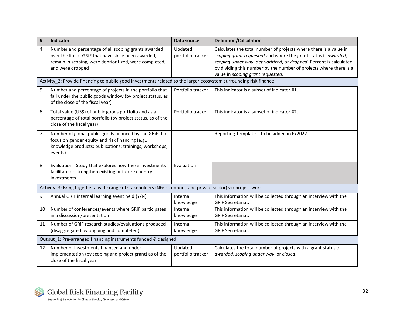| #  | Indicator                                                                                                                                                                                | Data source                  | <b>Definition/Calculation</b>                                                                                                                                                                                                                                                                                         |  |  |  |  |
|----|------------------------------------------------------------------------------------------------------------------------------------------------------------------------------------------|------------------------------|-----------------------------------------------------------------------------------------------------------------------------------------------------------------------------------------------------------------------------------------------------------------------------------------------------------------------|--|--|--|--|
| 4  | Number and percentage of all scoping grants awarded<br>over the life of GRiF that have since been awarded,<br>remain in scoping, were deprioritized, were completed,<br>and were dropped | Updated<br>portfolio tracker | Calculates the total number of projects where there is a value in<br>scoping grant requested and where the grant status is awarded,<br>scoping under way, deprioritized, or dropped. Percent is calculated<br>by dividing this number by the number of projects where there is a<br>value in scoping grant requested. |  |  |  |  |
|    | Activity_2: Provide financing to public good investments related to the larger ecosystem surrounding risk finance                                                                        |                              |                                                                                                                                                                                                                                                                                                                       |  |  |  |  |
| 5  | Number and percentage of projects in the portfolio that<br>fall under the public goods window (by project status, as<br>of the close of the fiscal year)                                 | Portfolio tracker            | This indicator is a subset of indicator #1.                                                                                                                                                                                                                                                                           |  |  |  |  |
| 6  | Total value (US\$) of public goods portfolio and as a<br>percentage of total portfolio (by project status, as of the<br>close of the fiscal year)                                        | Portfolio tracker            | This indicator is a subset of indicator #2.                                                                                                                                                                                                                                                                           |  |  |  |  |
| 7  | Number of global public goods financed by the GRiF that<br>focus on gender equity and risk financing (e.g.,<br>knowledge products; publications; trainings; workshops;<br>events)        |                              | Reporting Template - to be added in FY2022                                                                                                                                                                                                                                                                            |  |  |  |  |
| 8  | Evaluation: Study that explores how these investments<br>facilitate or strengthen existing or future country<br>investments                                                              | Evaluation                   |                                                                                                                                                                                                                                                                                                                       |  |  |  |  |
|    | Activity 3: Bring together a wide range of stakeholders (NGOs, donors, and private sector) via project work                                                                              |                              |                                                                                                                                                                                                                                                                                                                       |  |  |  |  |
| 9  | Annual GRiF internal learning event held (Y/N)                                                                                                                                           | Internal<br>knowledge        | This information will be collected through an interview with the<br><b>GRIF Secretariat.</b>                                                                                                                                                                                                                          |  |  |  |  |
| 10 | Number of conferences/events where GRiF participates<br>in a discussion/presentation                                                                                                     | Internal<br>knowledge        | This information will be collected through an interview with the<br><b>GRIF Secretariat.</b>                                                                                                                                                                                                                          |  |  |  |  |
| 11 | Number of GRiF research studies/evaluations produced<br>(disaggregated by ongoing and completed)                                                                                         | Internal<br>knowledge        | This information will be collected through an interview with the<br><b>GRIF Secretariat.</b>                                                                                                                                                                                                                          |  |  |  |  |
|    | Output 1: Pre-arranged financing instruments funded & designed                                                                                                                           |                              |                                                                                                                                                                                                                                                                                                                       |  |  |  |  |
| 12 | Number of investments financed and under<br>implementation (by scoping and project grant) as of the<br>close of the fiscal year                                                          | Updated<br>portfolio tracker | Calculates the total number of projects with a grant status of<br>awarded, scoping under way, or closed.                                                                                                                                                                                                              |  |  |  |  |

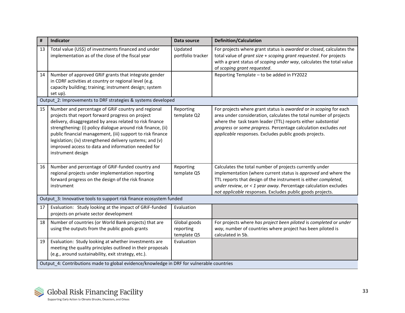| #  | Indicator                                                                                                                                                                                                                                                                                                                                                                                                                               | Data source                              | <b>Definition/Calculation</b>                                                                                                                                                                                                                                                                                                    |  |  |  |
|----|-----------------------------------------------------------------------------------------------------------------------------------------------------------------------------------------------------------------------------------------------------------------------------------------------------------------------------------------------------------------------------------------------------------------------------------------|------------------------------------------|----------------------------------------------------------------------------------------------------------------------------------------------------------------------------------------------------------------------------------------------------------------------------------------------------------------------------------|--|--|--|
| 13 | Total value (US\$) of investments financed and under<br>implementation as of the close of the fiscal year                                                                                                                                                                                                                                                                                                                               | Updated<br>portfolio tracker             | For projects where grant status is awarded or closed, calculates the<br>total value of grant size + scoping grant requested. For projects<br>with a grant status of scoping under way, calculates the total value<br>of scoping grant requested.                                                                                 |  |  |  |
| 14 | Number of approved GRiF grants that integrate gender<br>in CDRF activities at country or regional level (e.g.<br>capacity building; training; instrument design; system<br>set up).                                                                                                                                                                                                                                                     |                                          | Reporting Template - to be added in FY2022                                                                                                                                                                                                                                                                                       |  |  |  |
|    | Output_2: Improvements to DRF strategies & systems developed                                                                                                                                                                                                                                                                                                                                                                            |                                          |                                                                                                                                                                                                                                                                                                                                  |  |  |  |
| 15 | Number and percentage of GRIF country and regional<br>projects that report forward progress on project<br>delivery, disaggregated by areas related to risk finance<br>strengthening: (i) policy dialogue around risk finance, (ii)<br>public financial management, (iii) support to risk finance<br>legislation; (iv) strengthened delivery systems; and (v)<br>improved access to data and information needed for<br>instrument design | Reporting<br>template Q2                 | For projects where grant status is awarded or in scoping for each<br>area under consideration, calculates the total number of projects<br>where the task team leader (TTL) reports either substantial<br>progress or some progress. Percentage calculation excludes not<br>applicable responses. Excludes public goods projects. |  |  |  |
| 16 | Number and percentage of GRIF-funded country and<br>regional projects under implementation reporting<br>forward progress on the design of the risk finance<br>instrument                                                                                                                                                                                                                                                                | Reporting<br>template Q5                 | Calculates the total number of projects currently under<br>implementation (where current status is approved and where the<br>TTL reports that design of the instrument is either completed,<br>under review, or < 1 year away. Percentage calculation excludes<br>not applicable responses. Excludes public goods projects.      |  |  |  |
|    | Output 3: Innovative tools to support risk finance ecosystem funded                                                                                                                                                                                                                                                                                                                                                                     |                                          |                                                                                                                                                                                                                                                                                                                                  |  |  |  |
| 17 | Evaluation: Study looking at the impact of GRiF-funded<br>projects on private sector development                                                                                                                                                                                                                                                                                                                                        | Evaluation                               |                                                                                                                                                                                                                                                                                                                                  |  |  |  |
| 18 | Number of countries (or World Bank projects) that are<br>using the outputs from the public goods grants                                                                                                                                                                                                                                                                                                                                 | Global goods<br>reporting<br>template Q5 | For projects where has project been piloted is completed or under<br>way, number of countries where project has been piloted is<br>calculated in 5b.                                                                                                                                                                             |  |  |  |
| 19 | Evaluation: Study looking at whether investments are<br>meeting the quality principles outlined in their proposals<br>(e.g., around sustainability, exit strategy, etc.).                                                                                                                                                                                                                                                               | Evaluation                               |                                                                                                                                                                                                                                                                                                                                  |  |  |  |
|    | Output 4: Contributions made to global evidence/knowledge in DRF for vulnerable countries                                                                                                                                                                                                                                                                                                                                               |                                          |                                                                                                                                                                                                                                                                                                                                  |  |  |  |

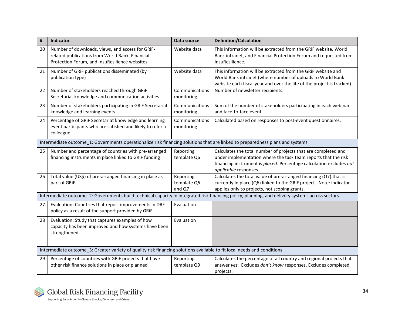| #  | Indicator                                                                                                                                            | Data source                        | <b>Definition/Calculation</b>                                                                                                                                                                                                    |
|----|------------------------------------------------------------------------------------------------------------------------------------------------------|------------------------------------|----------------------------------------------------------------------------------------------------------------------------------------------------------------------------------------------------------------------------------|
| 20 | Number of downloads, views, and access for GRIF-<br>related publications from World Bank, Financial<br>Protection Forum, and InsuResilience websites | Website data                       | This information will be extracted from the GRiF website, World<br>Bank intranet, and Financial Protection Forum and requested from<br>InsuResilience.                                                                           |
| 21 | Number of GRIF publications disseminated (by<br>publication type)                                                                                    | Website data                       | This information will be extracted from the GRIF website and<br>World Bank intranet (where number of uploads to World Bank<br>website each fiscal year and over the life of the project is tracked).                             |
| 22 | Number of stakeholders reached through GRIF<br>Secretariat knowledge and communication activities                                                    | Communications<br>monitoring       | Number of newsletter recipients.                                                                                                                                                                                                 |
| 23 | Number of stakeholders participating in GRiF Secretariat<br>knowledge and learning events                                                            | Communications<br>monitoring       | Sum of the number of stakeholders participating in each webinar<br>and face-to-face event.                                                                                                                                       |
| 24 | Percentage of GRIF Secretariat knowledge and learning<br>event participants who are satisfied and likely to refer a<br>colleague                     | Communications<br>monitoring       | Calculated based on responses to post-event questionnaires.                                                                                                                                                                      |
|    | Intermediate outcome_1: Governments operationalize risk financing solutions that are linked to preparedness plans and systems                        |                                    |                                                                                                                                                                                                                                  |
| 25 | Number and percentage of countries with pre-arranged<br>financing instruments in place linked to GRiF funding                                        | Reporting<br>template Q6           | Calculates the total number of projects that are completed and<br>under implementation where the task team reports that the risk<br>financing instrument is placed. Percentage calculation excludes not<br>applicable responses. |
| 26 | Total value (US\$) of pre-arranged financing in place as<br>part of GRiF                                                                             | Reporting<br>template Q6<br>and Q7 | Calculates the total value of pre-arranged financing (Q7) that is<br>currently in place (Q6) linked to the GRiF project. Note: indicator<br>applies only to projects, not scoping grants.                                        |
|    |                                                                                                                                                      |                                    | Intermediate outcome 2: Governments build technical capacity in integrated risk financing policy, planning, and delivery systems across sectors                                                                                  |
| 27 | Evaluation: Countries that report improvements in DRF<br>policy as a result of the support provided by GRiF                                          | Evaluation                         |                                                                                                                                                                                                                                  |
| 28 | Evaluation: Study that captures examples of how<br>capacity has been improved and how systems have been<br>strengthened                              | Evaluation                         |                                                                                                                                                                                                                                  |
|    | Intermediate outcome_3: Greater variety of quality risk financing solutions available to fit local needs and conditions                              |                                    |                                                                                                                                                                                                                                  |
| 29 | Percentage of countries with GRiF projects that have<br>other risk finance solutions in place or planned                                             | Reporting<br>template Q9           | Calculates the percentage of all country and regional projects that<br>answer yes. Excludes don't know responses. Excludes completed<br>projects.                                                                                |

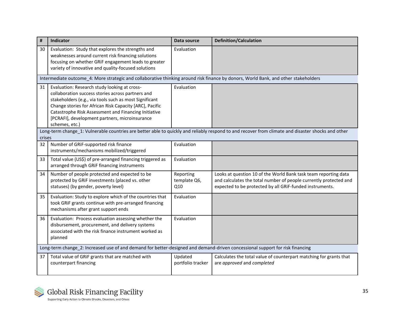| #      | Indicator                                                                                                                                                                                                                                                                                                                                          | Data source                      | <b>Definition/Calculation</b>                                                                                                                                                                    |  |  |  |  |  |
|--------|----------------------------------------------------------------------------------------------------------------------------------------------------------------------------------------------------------------------------------------------------------------------------------------------------------------------------------------------------|----------------------------------|--------------------------------------------------------------------------------------------------------------------------------------------------------------------------------------------------|--|--|--|--|--|
| 30     | Evaluation: Study that explores the strengths and<br>weaknesses around current risk financing solutions<br>focusing on whether GRiF engagement leads to greater<br>variety of innovative and quality-focused solutions                                                                                                                             | Evaluation                       |                                                                                                                                                                                                  |  |  |  |  |  |
|        | Intermediate outcome_4: More strategic and collaborative thinking around risk finance by donors, World Bank, and other stakeholders                                                                                                                                                                                                                |                                  |                                                                                                                                                                                                  |  |  |  |  |  |
| 31     | Evaluation: Research study looking at cross-<br>collaboration success stories across partners and<br>stakeholders (e.g., via tools such as most Significant<br>Change stories for African Risk Capacity [ARC], Pacific<br>Catastrophe Risk Assessment and Financing Initiative<br>[PCRAFI], development partners, microinsurance<br>schemes, etc.) | Evaluation                       |                                                                                                                                                                                                  |  |  |  |  |  |
| crises |                                                                                                                                                                                                                                                                                                                                                    |                                  | Long-term change_1: Vulnerable countries are better able to quickly and reliably respond to and recover from climate and disaster shocks and other                                               |  |  |  |  |  |
| 32     | Number of GRiF-supported risk finance<br>instruments/mechanisms mobilized/triggered                                                                                                                                                                                                                                                                | Evaluation                       |                                                                                                                                                                                                  |  |  |  |  |  |
| 33     | Total value (US\$) of pre-arranged financing triggered as<br>arranged through GRIF financing instruments                                                                                                                                                                                                                                           | Evaluation                       |                                                                                                                                                                                                  |  |  |  |  |  |
| 34     | Number of people protected and expected to be<br>protected by GRIF investments (placed vs. other<br>statuses) (by gender, poverty level)                                                                                                                                                                                                           | Reporting<br>template Q6,<br>Q10 | Looks at question 10 of the World Bank task team reporting data<br>and calculates the total number of people currently protected and<br>expected to be protected by all GRiF-funded instruments. |  |  |  |  |  |
| 35     | Evaluation: Study to explore which of the countries that<br>took GRiF grants continue with pre-arranged financing<br>mechanisms after grant support ends                                                                                                                                                                                           | Evaluation                       |                                                                                                                                                                                                  |  |  |  |  |  |
| 36     | Evaluation: Process evaluation assessing whether the<br>disbursement, procurement, and delivery systems<br>associated with the risk finance instrument worked as<br>planned                                                                                                                                                                        | Evaluation                       |                                                                                                                                                                                                  |  |  |  |  |  |
|        | Long-term change_2: Increased use of and demand for better-designed and demand-driven concessional support for risk financing                                                                                                                                                                                                                      |                                  |                                                                                                                                                                                                  |  |  |  |  |  |
| 37     | Total value of GRiF grants that are matched with<br>counterpart financing                                                                                                                                                                                                                                                                          | Updated<br>portfolio tracker     | Calculates the total value of counterpart matching for grants that<br>are approved and completed                                                                                                 |  |  |  |  |  |